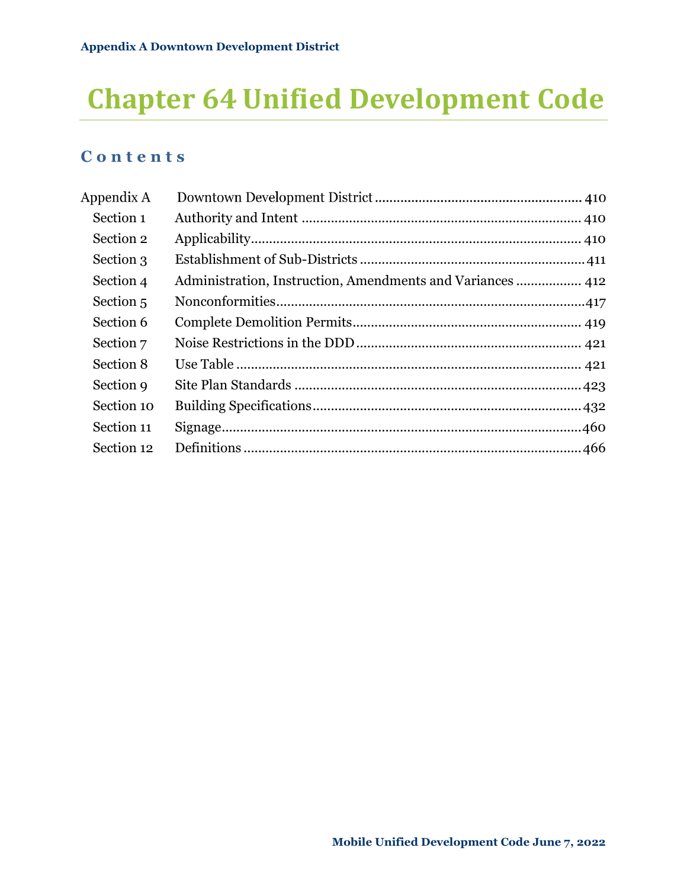# **Chapter 64 Unified Development Code**

# **C o n t e n t s**

| Appendix A |  |
|------------|--|
| Section 1  |  |
| Section 2  |  |
| Section 3  |  |
| Section 4  |  |
| Section 5  |  |
| Section 6  |  |
| Section 7  |  |
| Section 8  |  |
| Section 9  |  |
| Section 10 |  |
| Section 11 |  |
| Section 12 |  |
|            |  |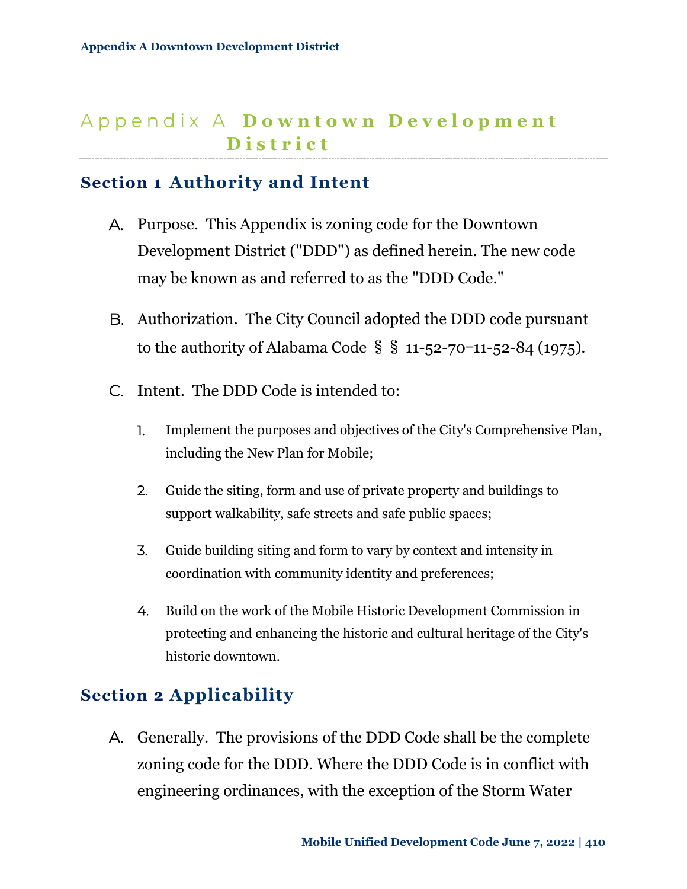# A p p e n d i x A **D** o w n t o w n **D** e v e l o p m e n t **D i s t r i c t**

# <span id="page-1-0"></span>**Section 1 Authority and Intent**

- A. Purpose. This Appendix is zoning code for the Downtown Development District ("DDD") as defined herein. The new code may be known as and referred to as the "DDD Code."
- B. Authorization. The City Council adopted the DDD code pursuant to the authority of Alabama Code  $\S$   $\S$  11-52-70-11-52-84 (1975).
- C. Intent. The DDD Code is intended to:
	- 1. Implement the purposes and objectives of the City's Comprehensive Plan, including the New Plan for Mobile;
	- 2. Guide the siting, form and use of private property and buildings to support walkability, safe streets and safe public spaces;
	- 3. Guide building siting and form to vary by context and intensity in coordination with community identity and preferences;
	- 4. Build on the work of the Mobile Historic Development Commission in protecting and enhancing the historic and cultural heritage of the City's historic downtown.

# <span id="page-1-1"></span>**Section 2 Applicability**

A. Generally. The provisions of the DDD Code shall be the complete zoning code for the DDD. Where the DDD Code is in conflict with engineering ordinances, with the exception of the Storm Water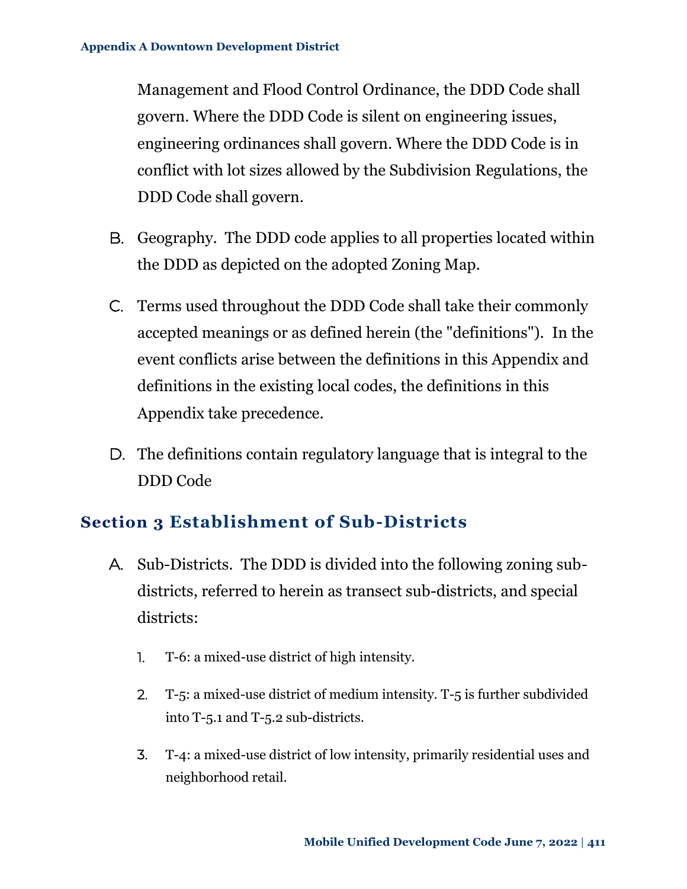Management and Flood Control Ordinance, the DDD Code shall govern. Where the DDD Code is silent on engineering issues, engineering ordinances shall govern. Where the DDD Code is in conflict with lot sizes allowed by the Subdivision Regulations, the DDD Code shall govern.

- B. Geography. The DDD code applies to all properties located within the DDD as depicted on the adopted Zoning Map.
- C. Terms used throughout the DDD Code shall take their commonly accepted meanings or as defined herein (the "definitions"). In the event conflicts arise between the definitions in this Appendix and definitions in the existing local codes, the definitions in this Appendix take precedence.
- D. The definitions contain regulatory language that is integral to the DDD Code

# <span id="page-2-0"></span>**Section 3 Establishment of Sub-Districts**

- A. Sub-Districts. The DDD is divided into the following zoning subdistricts, referred to herein as transect sub-districts, and special districts:
	- 1. T-6: a mixed-use district of high intensity.
	- 2. T-5: a mixed-use district of medium intensity. T-5 is further subdivided into T-5.1 and T-5.2 sub-districts.
	- 3. T-4: a mixed-use district of low intensity, primarily residential uses and neighborhood retail.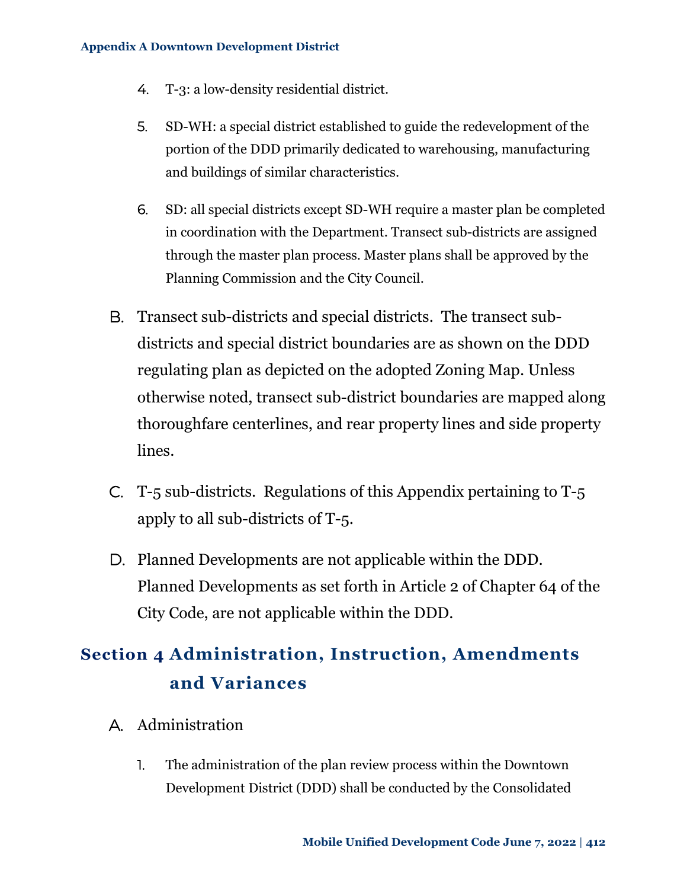- 4. T-3: a low-density residential district.
- 5. SD-WH: a special district established to guide the redevelopment of the portion of the DDD primarily dedicated to warehousing, manufacturing and buildings of similar characteristics.
- 6. SD: all special districts except SD-WH require a master plan be completed in coordination with the Department. Transect sub-districts are assigned through the master plan process. Master plans shall be approved by the Planning Commission and the City Council.
- B. Transect sub-districts and special districts. The transect subdistricts and special district boundaries are as shown on the DDD regulating plan as depicted on the adopted Zoning Map. Unless otherwise noted, transect sub-district boundaries are mapped along thoroughfare centerlines, and rear property lines and side property lines.
- C. T-5 sub-districts. Regulations of this Appendix pertaining to T-5 apply to all sub-districts of T-5.
- D. Planned Developments are not applicable within the DDD. Planned Developments as set forth in Article 2 of Chapter 64 of the City Code, are not applicable within the DDD.

# <span id="page-3-0"></span>**Section 4 Administration, Instruction, Amendments and Variances**

- A. Administration
	- 1. The administration of the plan review process within the Downtown Development District (DDD) shall be conducted by the Consolidated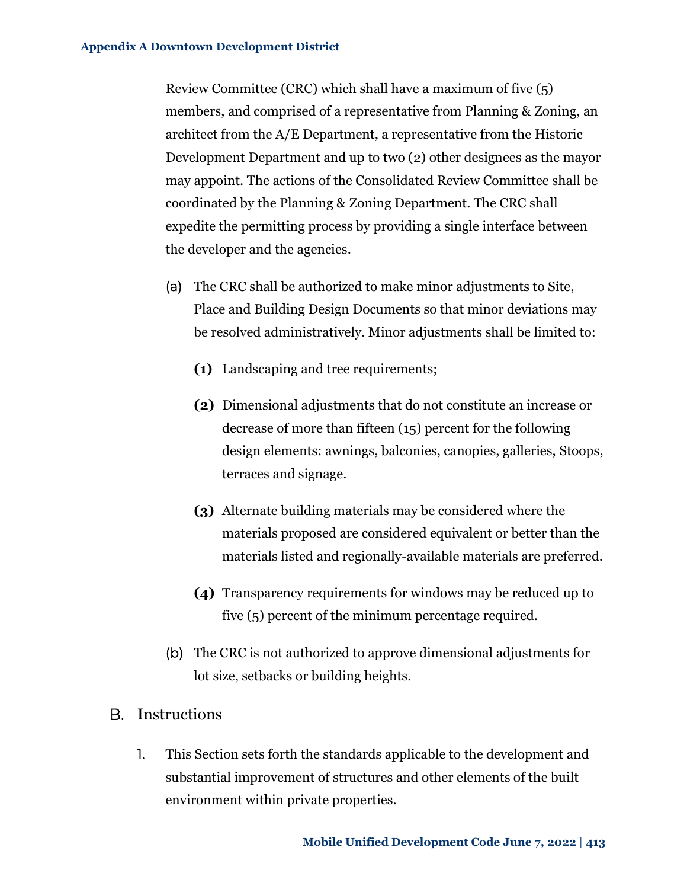Review Committee (CRC) which shall have a maximum of five (5) members, and comprised of a representative from Planning & Zoning, an architect from the A/E Department, a representative from the Historic Development Department and up to two (2) other designees as the mayor may appoint. The actions of the Consolidated Review Committee shall be coordinated by the Planning & Zoning Department. The CRC shall expedite the permitting process by providing a single interface between the developer and the agencies.

- (a) The CRC shall be authorized to make minor adjustments to Site, Place and Building Design Documents so that minor deviations may be resolved administratively. Minor adjustments shall be limited to:
	- **(1)** Landscaping and tree requirements;
	- **(2)** Dimensional adjustments that do not constitute an increase or decrease of more than fifteen (15) percent for the following design elements: awnings, balconies, canopies, galleries, Stoops, terraces and signage.
	- **(3)** Alternate building materials may be considered where the materials proposed are considered equivalent or better than the materials listed and regionally-available materials are preferred.
	- **(4)** Transparency requirements for windows may be reduced up to five (5) percent of the minimum percentage required.
- (b) The CRC is not authorized to approve dimensional adjustments for lot size, setbacks or building heights.

### B. Instructions

1. This Section sets forth the standards applicable to the development and substantial improvement of structures and other elements of the built environment within private properties.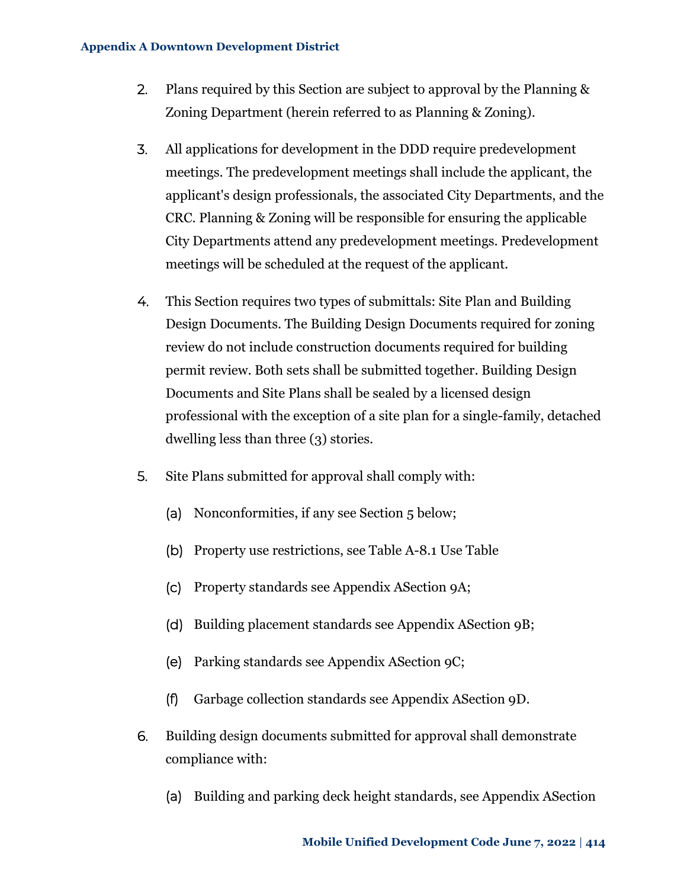- 2. Plans required by this Section are subject to approval by the Planning & Zoning Department (herein referred to as Planning & Zoning).
- 3. All applications for development in the DDD require predevelopment meetings. The predevelopment meetings shall include the applicant, the applicant's design professionals, the associated City Departments, and the CRC. Planning & Zoning will be responsible for ensuring the applicable City Departments attend any predevelopment meetings. Predevelopment meetings will be scheduled at the request of the applicant.
- 4. This Section requires two types of submittals: Site Plan and Building Design Documents. The Building Design Documents required for zoning review do not include construction documents required for building permit review. Both sets shall be submitted together. Building Design Documents and Site Plans shall be sealed by a licensed design professional with the exception of a site plan for a single-family, detached dwelling less than three (3) stories.
- 5. Site Plans submitted for approval shall comply with:
	- (a) Nonconformities, if any see [Section 5 below;](#page-8-0)
	- (b) Property use restrictions, see Table A-8.1 Use Table
	- (c) Property standards see [Appendix ASection 9A;](#page-14-1)
	- (d) Building placement standards see [Appendix ASection 9B;](#page-16-0)
	- (e) Parking standards see [Appendix ASection 9C;](#page-17-0)
	- (f) Garbage collection standards see [Appendix ASection 9D.](#page-21-0)
- 6. Building design documents submitted for approval shall demonstrate compliance with:
	- (a) Building and parking deck height standards, see [Appendix ASection](#page-23-1)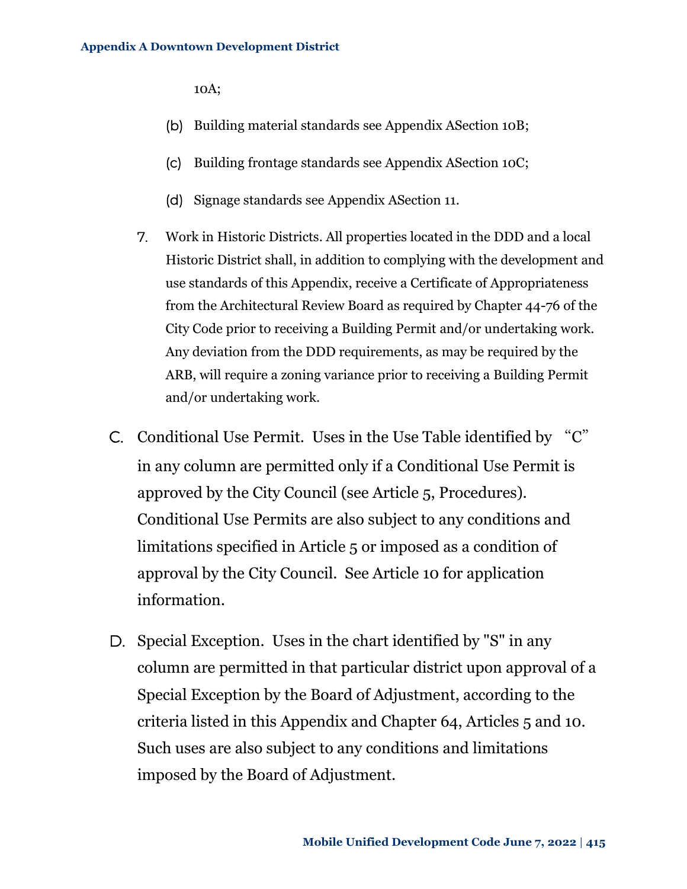[10A;](#page-23-1)

- (b) Building material standards see [Appendix ASection 10B;](#page-24-0)
- (c) Building frontage standards see [Appendix ASection 10C;](#page-28-0)
- (d) Signage standards see [Appendix ASection 11.](#page-51-0)
- 7. Work in Historic Districts. All properties located in the DDD and a local Historic District shall, in addition to complying with the development and use standards of this Appendix, receive a Certificate of Appropriateness from the Architectural Review Board as required by Chapter 44-76 of the City Code prior to receiving a Building Permit and/or undertaking work. Any deviation from the DDD requirements, as may be required by the ARB, will require a zoning variance prior to receiving a Building Permit and/or undertaking work.
- C. Conditional Use Permit. Uses in the Use Table identified by "C" in any column are permitted only if a Conditional Use Permit is approved by the City Council (see Article 5, Procedures). Conditional Use Permits are also subject to any conditions and limitations specified in Article 5 or imposed as a condition of approval by the City Council. See Article 10 for application information.
- D. Special Exception. Uses in the chart identified by "S" in any column are permitted in that particular district upon approval of a Special Exception by the Board of Adjustment, according to the criteria listed in this Appendix and Chapter 64, Articles 5 and 10. Such uses are also subject to any conditions and limitations imposed by the Board of Adjustment.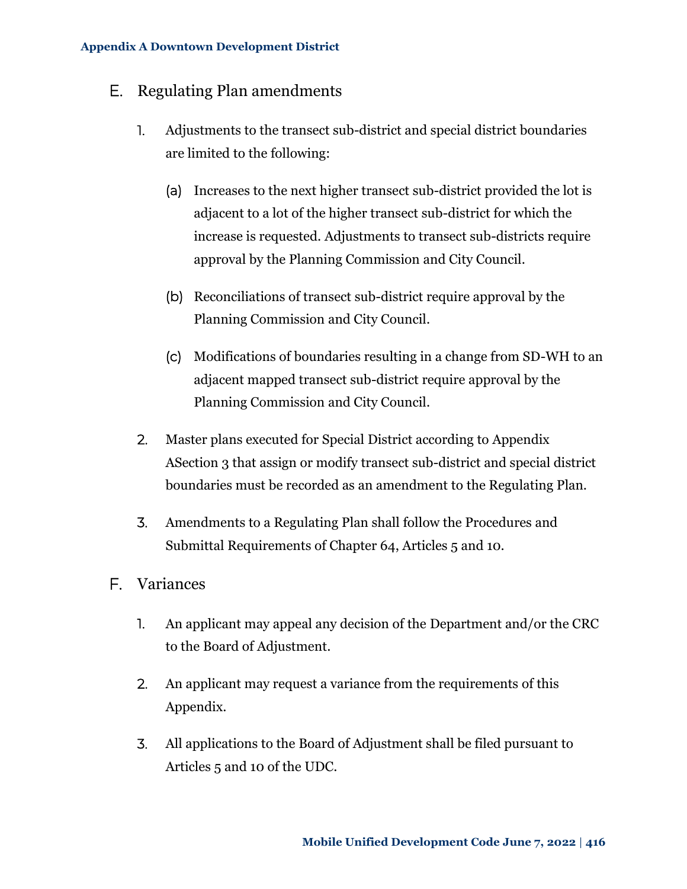### E. Regulating Plan amendments

- 1. Adjustments to the transect sub-district and special district boundaries are limited to the following:
	- (a) Increases to the next higher transect sub-district provided the lot is adjacent to a lot of the higher transect sub-district for which the increase is requested. Adjustments to transect sub-districts require approval by the Planning Commission and City Council.
	- (b) Reconciliations of transect sub-district require approval by the Planning Commission and City Council.
	- (c) Modifications of boundaries resulting in a change from SD-WH to an adjacent mapped transect sub-district require approval by the Planning Commission and City Council.
- 2. Master plans executed for Special District according to [Appendix](#page-2-0)  [ASection 3](#page-2-0) that assign or modify transect sub-district and special district boundaries must be recorded as an amendment to the Regulating Plan.
- 3. Amendments to a Regulating Plan shall follow the Procedures and Submittal Requirements of Chapter 64, Articles 5 and 10.
- F. Variances
	- 1. An applicant may appeal any decision of the Department and/or the CRC to the Board of Adjustment.
	- 2. An applicant may request a variance from the requirements of this Appendix.
	- 3. All applications to the Board of Adjustment shall be filed pursuant to Articles 5 and 10 of the UDC.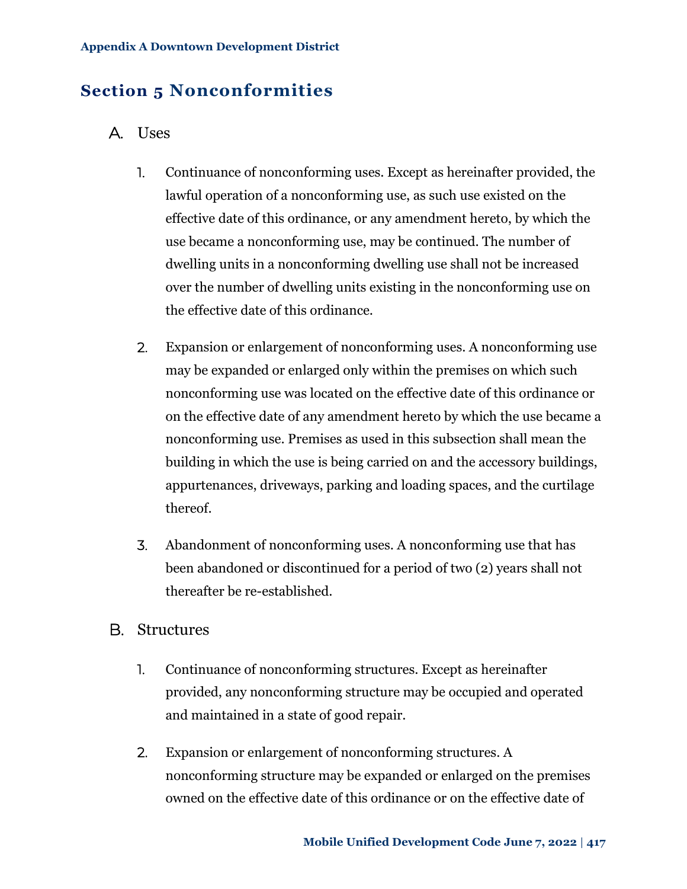# <span id="page-8-0"></span>**Section 5 Nonconformities**

### A. Uses

- 1. Continuance of nonconforming uses. Except as hereinafter provided, the lawful operation of a nonconforming use, as such use existed on the effective date of this ordinance, or any amendment hereto, by which the use became a nonconforming use, may be continued. The number of dwelling units in a nonconforming dwelling use shall not be increased over the number of dwelling units existing in the nonconforming use on the effective date of this ordinance.
- 2. Expansion or enlargement of nonconforming uses. A nonconforming use may be expanded or enlarged only within the premises on which such nonconforming use was located on the effective date of this ordinance or on the effective date of any amendment hereto by which the use became a nonconforming use. Premises as used in this subsection shall mean the building in which the use is being carried on and the accessory buildings, appurtenances, driveways, parking and loading spaces, and the curtilage thereof.
- 3. Abandonment of nonconforming uses. A nonconforming use that has been abandoned or discontinued for a period of two (2) years shall not thereafter be re-established.

### B. Structures

- 1. Continuance of nonconforming structures. Except as hereinafter provided, any nonconforming structure may be occupied and operated and maintained in a state of good repair.
- 2. Expansion or enlargement of nonconforming structures. A nonconforming structure may be expanded or enlarged on the premises owned on the effective date of this ordinance or on the effective date of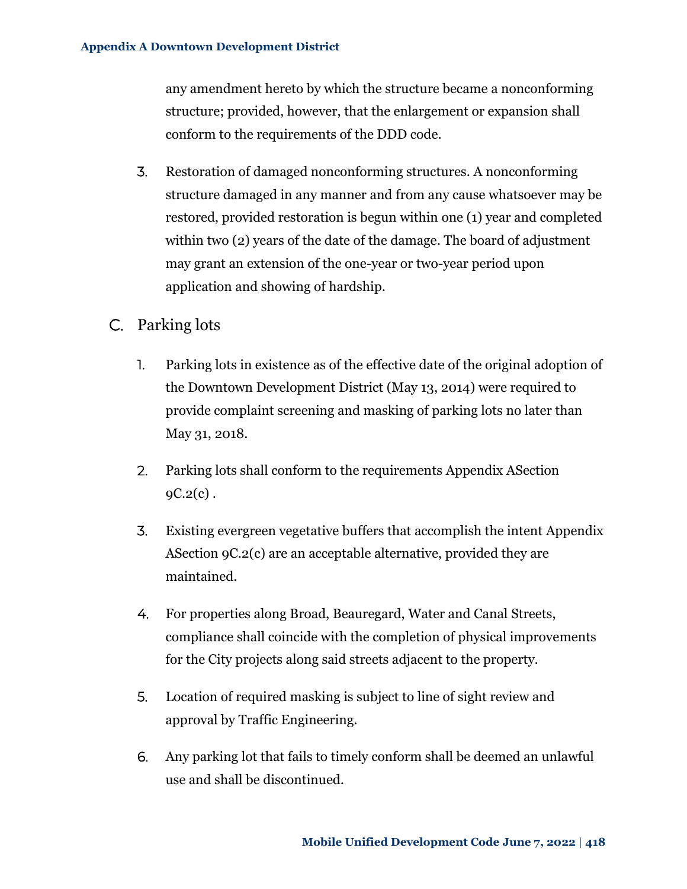any amendment hereto by which the structure became a nonconforming structure; provided, however, that the enlargement or expansion shall conform to the requirements of the DDD code.

- 3. Restoration of damaged nonconforming structures. A nonconforming structure damaged in any manner and from any cause whatsoever may be restored, provided restoration is begun within one (1) year and completed within two (2) years of the date of the damage. The board of adjustment may grant an extension of the one-year or two-year period upon application and showing of hardship.
- C. Parking lots
	- 1. Parking lots in existence as of the effective date of the original adoption of the Downtown Development District (May 13, 2014) were required to provide complaint screening and masking of parking lots no later than May 31, 2018.
	- 2. Parking lots shall conform to the requirements [Appendix ASection](#page-18-0)   $9C.2(c)$ .
	- 3. Existing evergreen vegetative buffers that accomplish the intent [Appendix](#page-18-0)  [ASection 9C.2\(c\)](#page-18-0) are an acceptable alternative, provided they are maintained.
	- 4. For properties along Broad, Beauregard, Water and Canal Streets, compliance shall coincide with the completion of physical improvements for the City projects along said streets adjacent to the property.
	- 5. Location of required masking is subject to line of sight review and approval by Traffic Engineering.
	- 6. Any parking lot that fails to timely conform shall be deemed an unlawful use and shall be discontinued.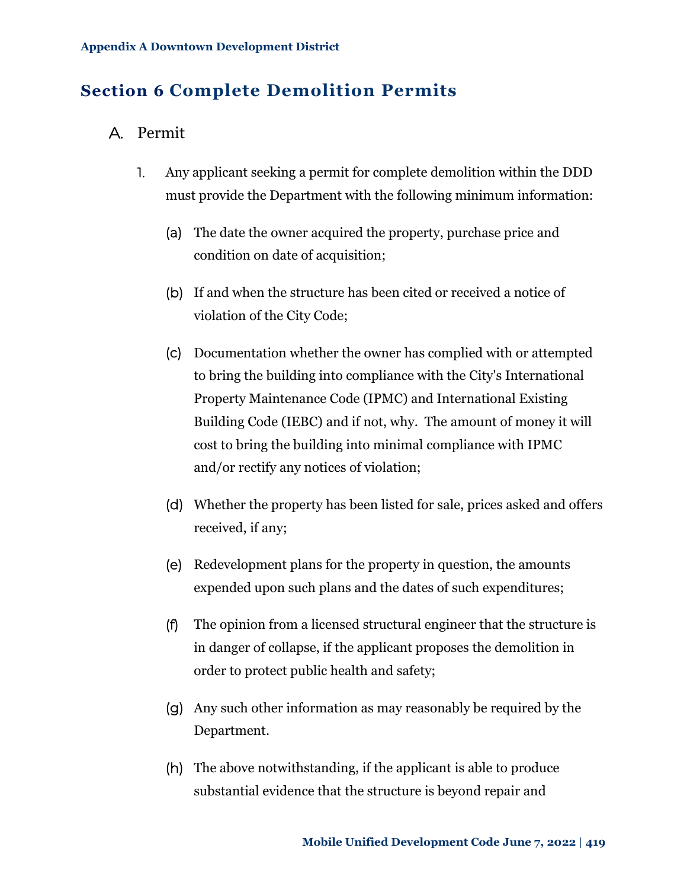# <span id="page-10-0"></span>**Section 6 Complete Demolition Permits**

### A. Permit

- 1. Any applicant seeking a permit for complete demolition within the DDD must provide the Department with the following minimum information:
	- (a) The date the owner acquired the property, purchase price and condition on date of acquisition;
	- (b) If and when the structure has been cited or received a notice of violation of the City Code;
	- (c) Documentation whether the owner has complied with or attempted to bring the building into compliance with the City's International Property Maintenance Code (IPMC) and International Existing Building Code (IEBC) and if not, why. The amount of money it will cost to bring the building into minimal compliance with IPMC and/or rectify any notices of violation;
	- (d) Whether the property has been listed for sale, prices asked and offers received, if any;
	- (e) Redevelopment plans for the property in question, the amounts expended upon such plans and the dates of such expenditures;
	- (f) The opinion from a licensed structural engineer that the structure is in danger of collapse, if the applicant proposes the demolition in order to protect public health and safety;
	- (g) Any such other information as may reasonably be required by the Department.
	- (h) The above notwithstanding, if the applicant is able to produce substantial evidence that the structure is beyond repair and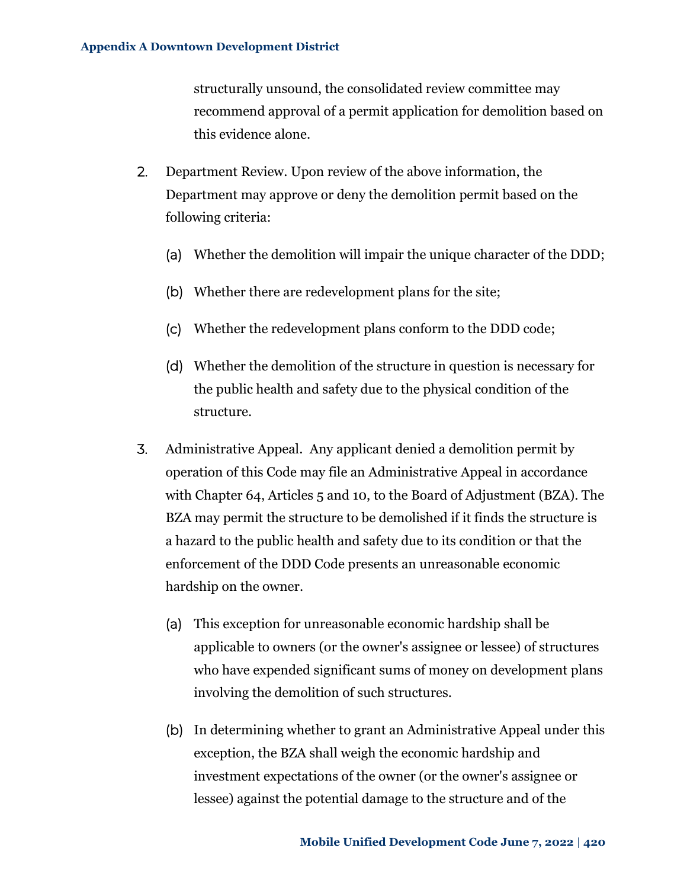structurally unsound, the consolidated review committee may recommend approval of a permit application for demolition based on this evidence alone.

- 2. Department Review. Upon review of the above information, the Department may approve or deny the demolition permit based on the following criteria:
	- (a) Whether the demolition will impair the unique character of the DDD;
	- (b) Whether there are redevelopment plans for the site;
	- (c) Whether the redevelopment plans conform to the DDD code;
	- (d) Whether the demolition of the structure in question is necessary for the public health and safety due to the physical condition of the structure.
- 3. Administrative Appeal. Any applicant denied a demolition permit by operation of this Code may file an Administrative Appeal in accordance with Chapter 64, Articles 5 and 10, to the Board of Adjustment (BZA). The BZA may permit the structure to be demolished if it finds the structure is a hazard to the public health and safety due to its condition or that the enforcement of the DDD Code presents an unreasonable economic hardship on the owner.
	- (a) This exception for unreasonable economic hardship shall be applicable to owners (or the owner's assignee or lessee) of structures who have expended significant sums of money on development plans involving the demolition of such structures.
	- (b) In determining whether to grant an Administrative Appeal under this exception, the BZA shall weigh the economic hardship and investment expectations of the owner (or the owner's assignee or lessee) against the potential damage to the structure and of the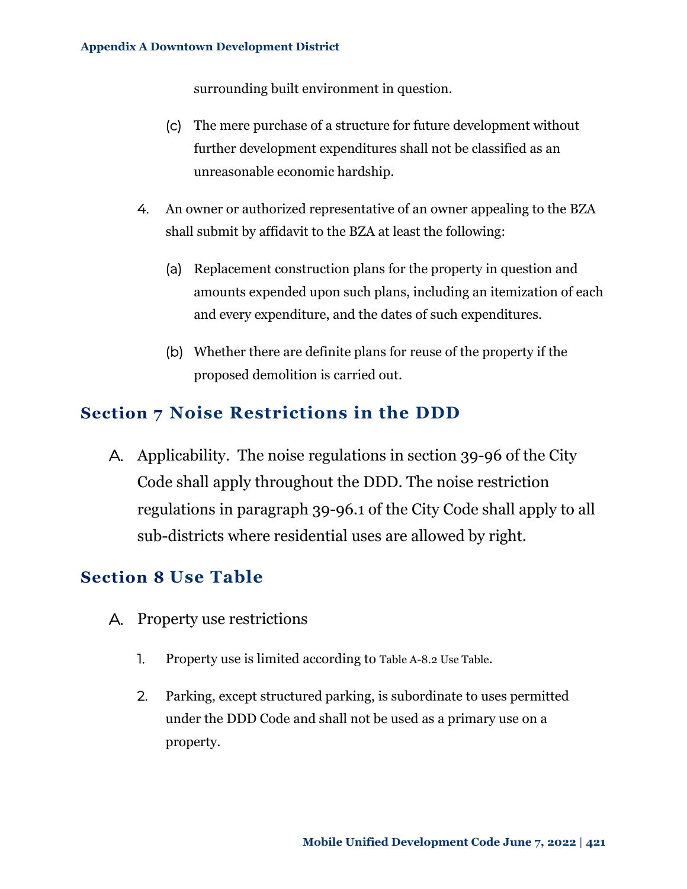surrounding built environment in question.

- (c) The mere purchase of a structure for future development without further development expenditures shall not be classified as an unreasonable economic hardship.
- 4. An owner or authorized representative of an owner appealing to the BZA shall submit by affidavit to the BZA at least the following:
	- (a) Replacement construction plans for the property in question and amounts expended upon such plans, including an itemization of each and every expenditure, and the dates of such expenditures.
	- (b) Whether there are definite plans for reuse of the property if the proposed demolition is carried out.

## <span id="page-12-0"></span>**Section 7 Noise Restrictions in the DDD**

A. Applicability. The noise regulations in section 39-96 of the City Code shall apply throughout the DDD. The noise restriction regulations in paragraph 39-96.1 of the City Code shall apply to all sub-districts where residential uses are allowed by right.

### <span id="page-12-1"></span>**Section 8 Use Table**

- A. Property use restrictions
	- 1. Property use is limited according to [Table A-8.2](#page-13-0) Use Table.
	- 2. Parking, except structured parking, is subordinate to uses permitted under the DDD Code and shall not be used as a primary use on a property.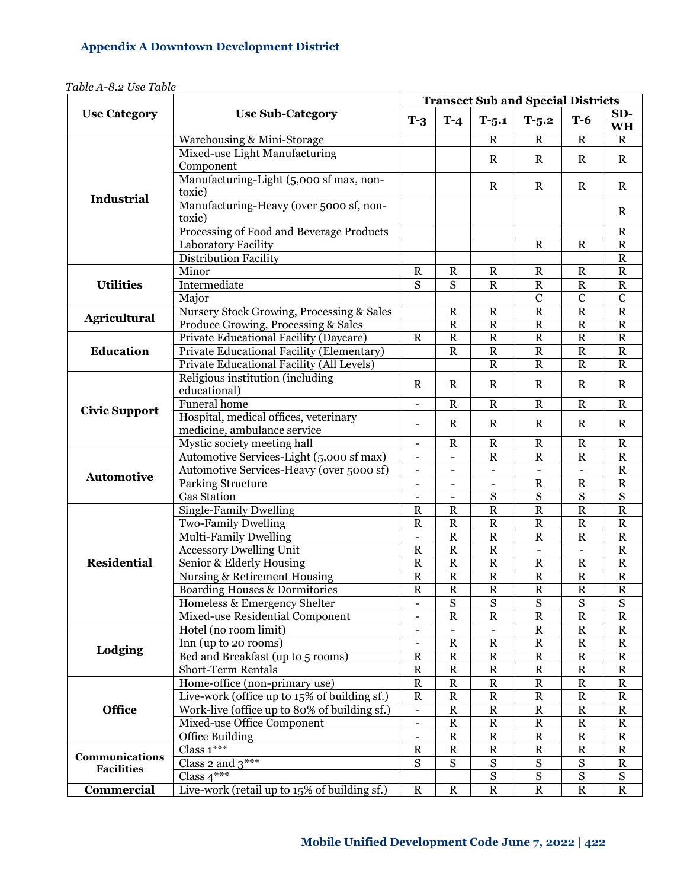<span id="page-13-0"></span>

|                       | <b>Use Sub-Category</b>                                  |                                                      | <b>Transect Sub and Special Districts</b> |                                    |                          |                          |                                    |  |
|-----------------------|----------------------------------------------------------|------------------------------------------------------|-------------------------------------------|------------------------------------|--------------------------|--------------------------|------------------------------------|--|
| <b>Use Category</b>   |                                                          |                                                      | $T-4$                                     | $T-5.1$                            | $T-5.2$                  | $T-6$                    | SD-<br><b>WH</b>                   |  |
|                       | Warehousing & Mini-Storage                               |                                                      |                                           | $\mathbb{R}$                       | $\mathbf R$              | $\mathbf R$              | $\mathbf R$                        |  |
|                       | Mixed-use Light Manufacturing                            |                                                      |                                           | $\mathbf R$                        | $\mathbf R$              | $\mathbf R$              | $\mathbf R$                        |  |
|                       | Component<br>Manufacturing-Light (5,000 sf max, non-     |                                                      |                                           |                                    |                          |                          |                                    |  |
| <b>Industrial</b>     | toxic)                                                   |                                                      |                                           | $\mathbf R$                        | $\mathbf R$              | $\mathbf R$              | $\mathbf R$                        |  |
|                       | Manufacturing-Heavy (over 5000 sf, non-<br>toxic)        |                                                      |                                           |                                    |                          |                          | $\mathbf R$                        |  |
|                       | Processing of Food and Beverage Products                 |                                                      |                                           |                                    |                          |                          | ${\bf R}$                          |  |
|                       | Laboratory Facility                                      |                                                      |                                           |                                    | $\mathbb{R}$             | $\mathbf R$              | ${\bf R}$                          |  |
|                       | <b>Distribution Facility</b>                             |                                                      |                                           |                                    |                          |                          | ${\bf R}$                          |  |
|                       | Minor                                                    | $\mathbb{R}$                                         | $\mathbb{R}$                              | R                                  | $\mathbb{R}$             | $\mathbf R$              | ${\bf R}$                          |  |
| <b>Utilities</b>      | Intermediate                                             |                                                      | S                                         | $\mathbb R$                        | ${\bf R}$                | ${\bf R}$                | ${\bf R}$                          |  |
|                       | Major                                                    |                                                      |                                           |                                    | $\mathbf C$              | $\mathbf C$              | $\mathbf C$                        |  |
|                       | Nursery Stock Growing, Processing & Sales                |                                                      | $\mathbb{R}$                              | $\mathbf R$                        | ${\bf R}$                | ${\bf R}$                | $\overline{R}$                     |  |
| <b>Agricultural</b>   | Produce Growing, Processing & Sales                      |                                                      | $\mathbb{R}$                              | $\mathbf R$                        | ${\bf R}$                | ${\bf R}$                | ${\bf R}$                          |  |
|                       | Private Educational Facility (Daycare)                   | $\mathbf R$                                          | $\mathbb{R}$                              | $\mathbf R$                        | $\mathbf R$              | $\mathbf R$              | ${\bf R}$                          |  |
| <b>Education</b>      | Private Educational Facility (Elementary)                |                                                      | $\mathbf R$                               | ${\bf R}$                          | $\mathbf R$              | $\mathbf R$              | ${\bf R}$                          |  |
|                       | Private Educational Facility (All Levels)                |                                                      |                                           | $\mathbf R$                        | ${\bf R}$                | ${\bf R}$                | ${\bf R}$                          |  |
|                       | Religious institution (including                         | $\mathbf R$                                          | $\mathbf R$                               | $\mathbf R$                        | $\mathbf R$              | $\mathbf R$              | $\mathbf R$                        |  |
|                       | educational)                                             |                                                      |                                           |                                    |                          |                          |                                    |  |
| <b>Civic Support</b>  | Funeral home                                             | L,                                                   | $\mathbb{R}$                              | $\mathbf R$                        | $\mathbf R$              | $\mathbf R$              | $\mathbf R$                        |  |
|                       | Hospital, medical offices, veterinary                    | L,                                                   | $\mathbf R$                               | $\mathbf R$                        | $\mathbf R$              | R                        | $\mathbf R$                        |  |
|                       | medicine, ambulance service                              |                                                      |                                           |                                    |                          |                          |                                    |  |
|                       | Mystic society meeting hall                              |                                                      | $\mathbf R$                               | ${\bf R}$                          | ${\bf R}$                | $\mathbf R$              | ${\bf R}$                          |  |
|                       | Automotive Services-Light (5,000 sf max)                 | $\overline{a}$                                       | $\blacksquare$                            | $\overline{\text{R}}$              | $\mathbf R$              | $\overline{\text{R}}$    | ${\bf R}$                          |  |
| <b>Automotive</b>     | Automotive Services-Heavy (over 5000 sf)                 | $\overline{\phantom{0}}$                             | $\overline{\phantom{a}}$                  | $\blacksquare$                     | $\blacksquare$           | $\blacksquare$           | ${\bf R}$                          |  |
|                       | <b>Parking Structure</b>                                 | L,                                                   | $\overline{\phantom{a}}$                  | $\blacksquare$                     | ${\bf R}$                | ${\bf R}$                | $\mathbf R$                        |  |
|                       | <b>Gas Station</b>                                       |                                                      | $\overline{\phantom{a}}$                  | ${\bf S}$                          | $\overline{\mathbf{S}}$  | $\overline{\mathbf{S}}$  | $\overline{\mathbf{S}}$            |  |
|                       | <b>Single-Family Dwelling</b>                            | $\overline{\text{R}}$                                | $\mathbf R$                               | $\overline{R}$                     | $\overline{R}$           | $\overline{R}$           | $\overline{R}$                     |  |
|                       | Two-Family Dwelling                                      | $\mathbb{R}$<br>$\overline{\phantom{0}}$             | ${\bf R}$                                 | ${\bf R}$                          | $\mathbf R$              | ${\bf R}$                | ${\bf R}$                          |  |
|                       | Multi-Family Dwelling                                    |                                                      | ${\bf R}$                                 | $\mathbf R$                        | $\mathbf R$              | $\mathbf R$              | ${\bf R}$                          |  |
|                       | <b>Accessory Dwelling Unit</b>                           |                                                      | ${\bf R}$                                 | $\mathbf R$                        | $\blacksquare$           |                          | ${\bf R}$                          |  |
| <b>Residential</b>    | Senior & Elderly Housing                                 | $\overline{R}$                                       | ${\bf R}$                                 | $\overline{R}$                     | ${\bf R}$                | ${\bf R}$                | $\overline{R}$                     |  |
|                       | Nursing & Retirement Housing                             | $\mathbf R$                                          | ${\bf R}$                                 | $\overline{\text{R}}$              | ${\bf R}$                | ${\bf R}$                | ${\bf R}$                          |  |
|                       | Boarding Houses & Dormitories                            | $\overline{\text{R}}$                                | ${\bf R}$                                 | $\overline{\text{R}}$              | ${\bf R}$                | ${\bf R}$                | ${\bf R}$                          |  |
|                       | Homeless & Emergency Shelter                             | $\overline{\phantom{0}}$<br>$\overline{\phantom{0}}$ | ${\bf S}$<br>${\bf R}$                    | ${\bf S}$<br>$\overline{\text{R}}$ | ${\bf S}$<br>$\mathbf R$ | ${\bf S}$<br>$\mathbf R$ | ${\bf S}$<br>$\overline{\text{R}}$ |  |
|                       | Mixed-use Residential Component<br>Hotel (no room limit) | $\overline{\phantom{0}}$                             |                                           |                                    | $\mathbf R$              | ${\bf R}$                | ${\bf R}$                          |  |
|                       | Inn (up to 20 rooms)                                     | $\overline{\phantom{0}}$                             | $\overline{R}$                            | $\mathbf R$                        | $\overline{R}$           | $\overline{R}$           | $\overline{R}$                     |  |
| Lodging               | Bed and Breakfast (up to 5 rooms)                        | $\overline{\text{R}}$                                | ${\bf R}$                                 | $\overline{R}$                     | $\mathbf R$              | ${\bf R}$                | $\overline{R}$                     |  |
|                       | <b>Short-Term Rentals</b>                                | $\mathbf R$                                          | ${\bf R}$                                 | $\mathbf R$                        | $\mathbf R$              | ${\bf R}$                | ${\bf R}$                          |  |
|                       | Home-office (non-primary use)                            | ${\bf R}$                                            | ${\bf R}$                                 | $\overline{\text{R}}$              | $\mathbf R$              | ${\bf R}$                | ${\bf R}$                          |  |
|                       | Live-work (office up to 15% of building sf.)             | ${\bf R}$                                            | ${\bf R}$                                 | $\mathbf R$                        | ${\bf R}$                | ${\bf R}$                | ${\bf R}$                          |  |
| <b>Office</b>         | Work-live (office up to 80% of building sf.)             | $\blacksquare$                                       | ${\bf R}$                                 | ${\bf R}$                          | ${\bf R}$                | ${\bf R}$                | ${\bf R}$                          |  |
|                       | Mixed-use Office Component                               |                                                      | ${\bf R}$                                 | ${\bf R}$                          | ${\bf R}$                | ${\bf R}$                | ${\bf R}$                          |  |
|                       | Office Building                                          |                                                      | ${\bf R}$                                 | ${\bf R}$                          | ${\bf R}$                | ${\bf R}$                | ${\bf R}$                          |  |
|                       | Class $1***$                                             | $\blacksquare$<br>${\bf R}$                          | ${\bf R}$                                 | ${\bf R}$                          | ${\bf R}$                | ${\bf R}$                | ${\bf R}$                          |  |
| <b>Communications</b> | Class 2 and $3***$                                       | ${\bf S}$                                            | ${\bf S}$                                 | ${\bf S}$                          | ${\bf S}$                | ${\bf S}$                | ${\bf R}$                          |  |
| <b>Facilities</b>     | Class $4***$                                             |                                                      |                                           | ${\bf S}$                          | ${\bf S}$                | ${\bf S}$                | ${\bf S}$                          |  |
| <b>Commercial</b>     | Live-work (retail up to 15% of building sf.)             | $\mathbf R$                                          | ${\bf R}$                                 | $\overline{R}$                     | $\overline{R}$           | ${\bf R}$                | $\mathbf R$                        |  |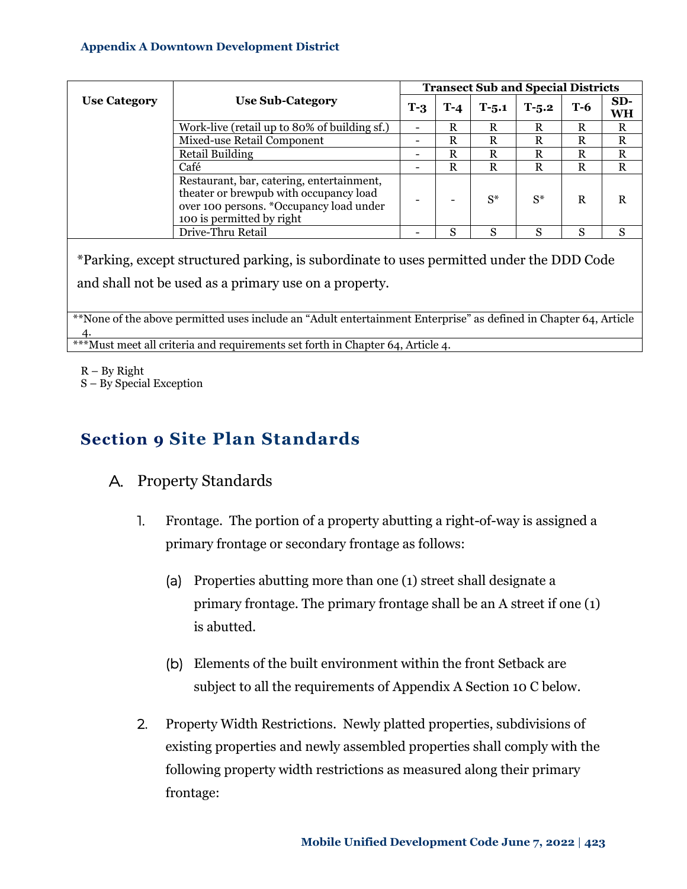|                     | <b>Use Sub-Category</b>                                                                                                                                     |   | <b>Transect Sub and Special Districts</b> |           |         |     |             |  |  |
|---------------------|-------------------------------------------------------------------------------------------------------------------------------------------------------------|---|-------------------------------------------|-----------|---------|-----|-------------|--|--|
| <b>Use Category</b> |                                                                                                                                                             |   | T-4                                       | $T - 5.1$ | $T-5.2$ | Т-6 | $SD-$<br>WH |  |  |
|                     | Work-live (retail up to 80% of building sf.)                                                                                                                | ۰ | R                                         | R         | R       | R   | R           |  |  |
|                     | Mixed-use Retail Component                                                                                                                                  | - | R                                         | R         | R       | R   | R           |  |  |
|                     | Retail Building                                                                                                                                             | - | R                                         | R         | R       | R   | R           |  |  |
|                     | Café                                                                                                                                                        |   | R                                         | R         | R       | R   | R           |  |  |
|                     | Restaurant, bar, catering, entertainment,<br>theater or brewpub with occupancy load<br>over 100 persons. *Occupancy load under<br>100 is permitted by right |   |                                           | $S^*$     | $S^*$   | R   |             |  |  |
|                     | Drive-Thru Retail                                                                                                                                           |   | S                                         | S         | S       | S   | S           |  |  |

\*Parking, except structured parking, is subordinate to uses permitted under the DDD Code and shall not be used as a primary use on a property.

\*\*None of the above permitted uses include an "Adult entertainment Enterprise" as defined in Chapter 64, Article 4. \*\*\*Must meet all criteria and requirements set forth in Chapter 64, Article 4.

- R By Right
- S By Special Exception

# <span id="page-14-0"></span>**Section 9 Site Plan Standards**

### <span id="page-14-1"></span>A. Property Standards

- 1. Frontage. The portion of a property abutting a right-of-way is assigned a primary frontage or secondary frontage as follows:
	- (a) Properties abutting more than one (1) street shall designate a primary frontage. The primary frontage shall be an A street if one (1) is abutted.
	- (b) Elements of the built environment within the front Setback are subject to all the requirements of [Appendix A Section 10 C below.](#page-28-0)
- 2. Property Width Restrictions. Newly platted properties, subdivisions of existing properties and newly assembled properties shall comply with the following property width restrictions as measured along their primary frontage: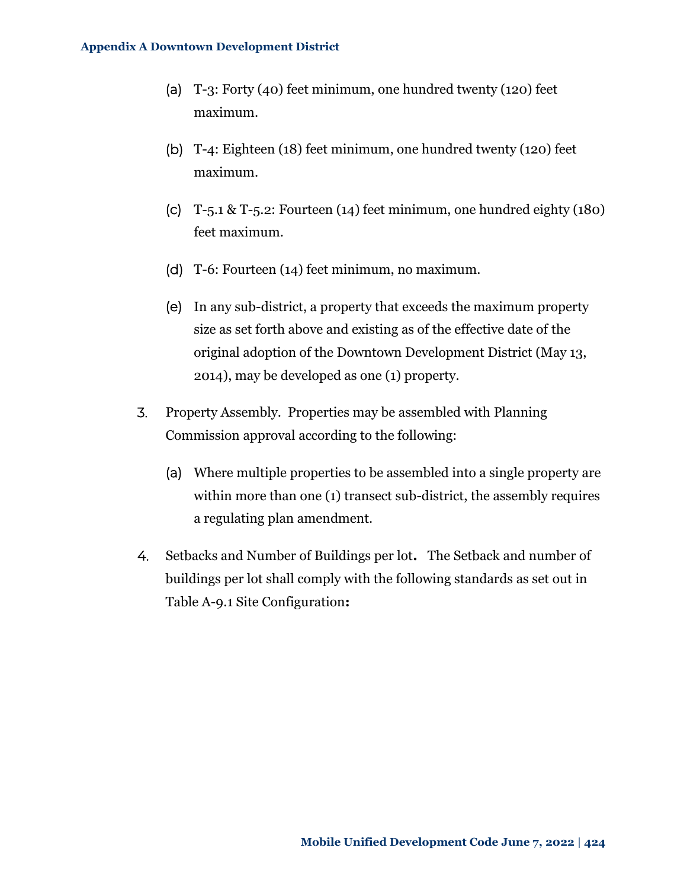- (a) T-3: Forty (40) feet minimum, one hundred twenty (120) feet maximum.
- (b) T-4: Eighteen (18) feet minimum, one hundred twenty (120) feet maximum.
- (c) T-5.1 & T-5.2: Fourteen (14) feet minimum, one hundred eighty (180) feet maximum.
- (d) T-6: Fourteen (14) feet minimum, no maximum.
- (e) In any sub-district, a property that exceeds the maximum property size as set forth above and existing as of the effective date of the original adoption of the Downtown Development District (May 13, 2014), may be developed as one (1) property.
- 3. Property Assembly. Properties may be assembled with Planning Commission approval according to the following:
	- (a) Where multiple properties to be assembled into a single property are within more than one (1) transect sub-district, the assembly requires a regulating plan amendment.
- 4. Setbacks and Number of Buildings per lot**.** The Setback and number of buildings per lot shall comply with the following standards as set out in Table A-9.1 [Site Configuration](#page-16-1)**:**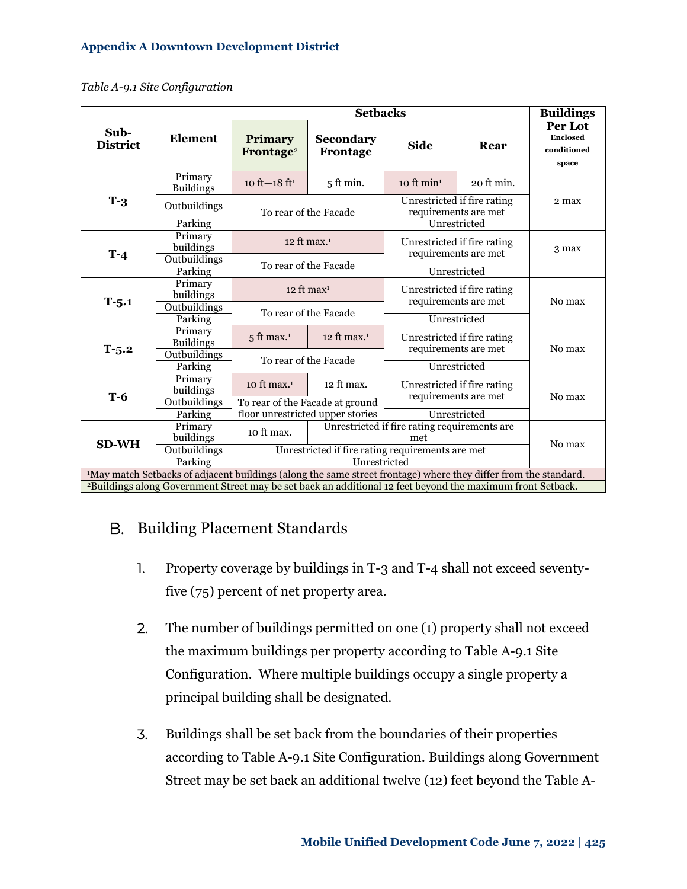<span id="page-16-1"></span>*Table A-9.1 Site Configuration* 

|                                                                                                                             |                             |                                                  | <b>Buildings</b>                      |                                                     |                                                     |                                                    |  |  |
|-----------------------------------------------------------------------------------------------------------------------------|-----------------------------|--------------------------------------------------|---------------------------------------|-----------------------------------------------------|-----------------------------------------------------|----------------------------------------------------|--|--|
| Sub-<br><b>District</b>                                                                                                     | <b>Element</b>              | <b>Primary</b><br>Frontage <sup>2</sup>          | Secondary<br>Frontage                 | <b>Side</b>                                         | Rear                                                | Per Lot<br><b>Enclosed</b><br>conditioned<br>space |  |  |
|                                                                                                                             | Primary<br><b>Buildings</b> | 10 ft $-18$ ft <sup>1</sup>                      | $5$ ft min.                           | $10$ ft min <sup>1</sup>                            | 20 ft min.                                          |                                                    |  |  |
| $T-3$                                                                                                                       | Outbuildings                |                                                  | To rear of the Facade                 | Unrestricted if fire rating<br>requirements are met |                                                     | 2 max                                              |  |  |
|                                                                                                                             | Parking                     |                                                  |                                       |                                                     | Unrestricted                                        |                                                    |  |  |
| $T-4$                                                                                                                       | Primary<br>buildings        |                                                  | 12 ft max. <sup>1</sup>               |                                                     | Unrestricted if fire rating<br>requirements are met | 3 max                                              |  |  |
|                                                                                                                             | Outbuildings<br>Parking     |                                                  | To rear of the Facade                 |                                                     | Unrestricted                                        |                                                    |  |  |
|                                                                                                                             | Primary<br>buildings        |                                                  | $12$ ft max <sup>1</sup>              | Unrestricted if fire rating<br>requirements are met |                                                     | No max                                             |  |  |
| $T - 5.1$                                                                                                                   | Outbuildings<br>Parking     |                                                  | To rear of the Facade<br>Unrestricted |                                                     |                                                     |                                                    |  |  |
|                                                                                                                             | Primary<br><b>Buildings</b> | $5$ ft max. <sup>1</sup>                         | 12 ft max. $1$                        | Unrestricted if fire rating<br>requirements are met |                                                     |                                                    |  |  |
| $T-5.2$                                                                                                                     | Outbuildings<br>Parking     |                                                  | To rear of the Facade                 |                                                     | Unrestricted                                        | No max                                             |  |  |
| $T-6$                                                                                                                       | Primary<br>buildings        | 10 ft max. $1$                                   | 12 ft max.                            | Unrestricted if fire rating                         |                                                     |                                                    |  |  |
|                                                                                                                             | Outbuildings                |                                                  | To rear of the Facade at ground       | requirements are met                                |                                                     | No max                                             |  |  |
|                                                                                                                             | Parking                     |                                                  | floor unrestricted upper stories      | Unrestricted                                        |                                                     |                                                    |  |  |
|                                                                                                                             | Primary<br>buildings        | 10 ft max.                                       |                                       | Unrestricted if fire rating requirements are<br>met |                                                     | No max                                             |  |  |
| <b>SD-WH</b>                                                                                                                | Outbuildings                | Unrestricted if fire rating requirements are met |                                       |                                                     |                                                     |                                                    |  |  |
|                                                                                                                             | Parking                     | Unrestricted                                     |                                       |                                                     |                                                     |                                                    |  |  |
| <sup>1</sup> May match Setbacks of adjacent buildings (along the same street frontage) where they differ from the standard. |                             |                                                  |                                       |                                                     |                                                     |                                                    |  |  |
| <sup>2</sup> Buildings along Government Street may be set back an additional 12 feet beyond the maximum front Setback.      |                             |                                                  |                                       |                                                     |                                                     |                                                    |  |  |

### <span id="page-16-0"></span>B. Building Placement Standards

- 1. Property coverage by buildings in T-3 and T-4 shall not exceed seventyfive (75) percent of net property area.
- 2. The number of buildings permitted on one (1) property shall not exceed the maximum buildings per property according to Table A-9.1 Site Configuration. Where multiple buildings occupy a single property a principal building shall be designated.
- 3. Buildings shall be set back from the boundaries of their properties according to Table A-9.1 Site Configuration. Buildings along Government Street may be set back an additional twelve (12) feet beyond the Table A-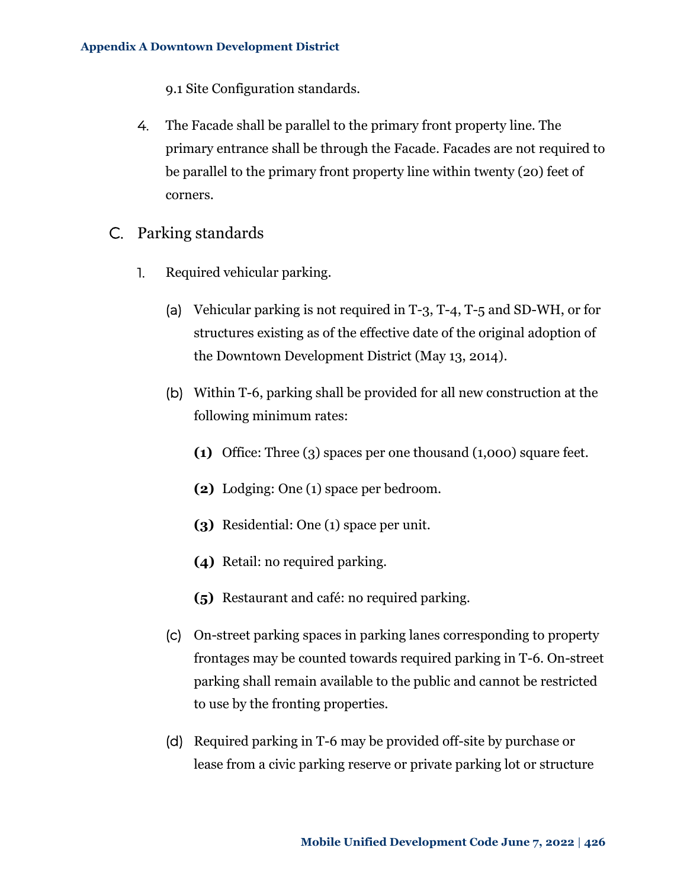9.1 Site Configuration standards.

- 4. The Facade shall be parallel to the primary front property line. The primary entrance shall be through the Facade. Facades are not required to be parallel to the primary front property line within twenty (20) feet of corners.
- <span id="page-17-0"></span>C. Parking standards
	- 1. Required vehicular parking.
		- (a) Vehicular parking is not required in T-3, T-4, T-5 and SD-WH, or for structures existing as of the effective date of the original adoption of the Downtown Development District (May 13, 2014).
		- (b) Within T-6, parking shall be provided for all new construction at the following minimum rates:
			- **(1)** Office: Three (3) spaces per one thousand (1,000) square feet.
			- **(2)** Lodging: One (1) space per bedroom.
			- **(3)** Residential: One (1) space per unit.
			- **(4)** Retail: no required parking.
			- **(5)** Restaurant and café: no required parking.
		- (c) On-street parking spaces in parking lanes corresponding to property frontages may be counted towards required parking in T-6. On-street parking shall remain available to the public and cannot be restricted to use by the fronting properties.
		- (d) Required parking in T-6 may be provided off-site by purchase or lease from a civic parking reserve or private parking lot or structure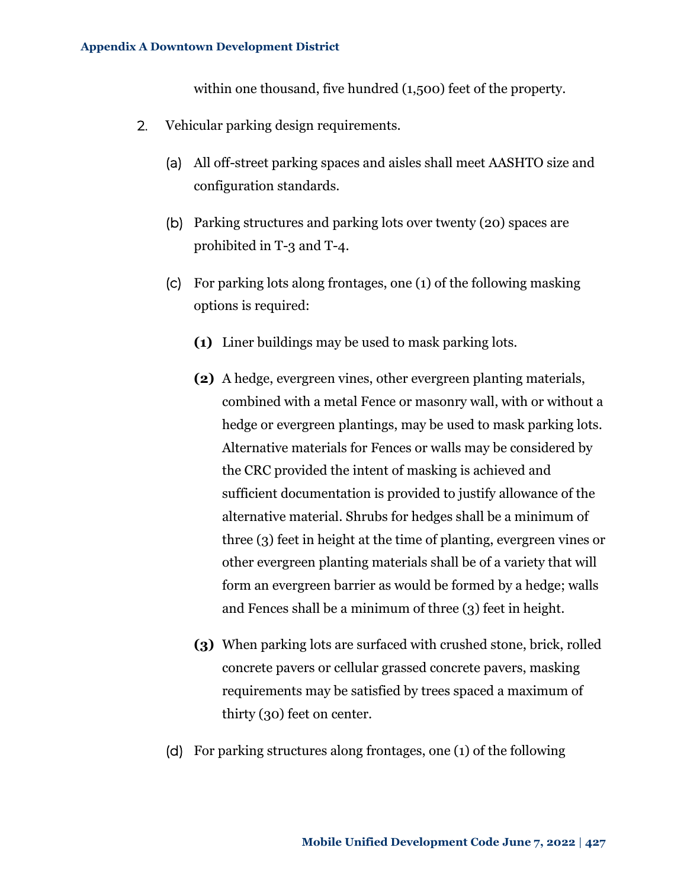within one thousand, five hundred (1,500) feet of the property.

- <span id="page-18-0"></span>2. Vehicular parking design requirements.
	- (a) All off-street parking spaces and aisles shall meet AASHTO size and configuration standards.
	- (b) Parking structures and parking lots over twenty (20) spaces are prohibited in T-3 and T-4.
	- (c) For parking lots along frontages, one (1) of the following masking options is required:
		- **(1)** Liner buildings may be used to mask parking lots.
		- **(2)** A hedge, evergreen vines, other evergreen planting materials, combined with a metal Fence or masonry wall, with or without a hedge or evergreen plantings, may be used to mask parking lots. Alternative materials for Fences or walls may be considered by the CRC provided the intent of masking is achieved and sufficient documentation is provided to justify allowance of the alternative material. Shrubs for hedges shall be a minimum of three (3) feet in height at the time of planting, evergreen vines or other evergreen planting materials shall be of a variety that will form an evergreen barrier as would be formed by a hedge; walls and Fences shall be a minimum of three (3) feet in height.
		- **(3)** When parking lots are surfaced with crushed stone, brick, rolled concrete pavers or cellular grassed concrete pavers, masking requirements may be satisfied by trees spaced a maximum of thirty (30) feet on center.
	- (d) For parking structures along frontages, one (1) of the following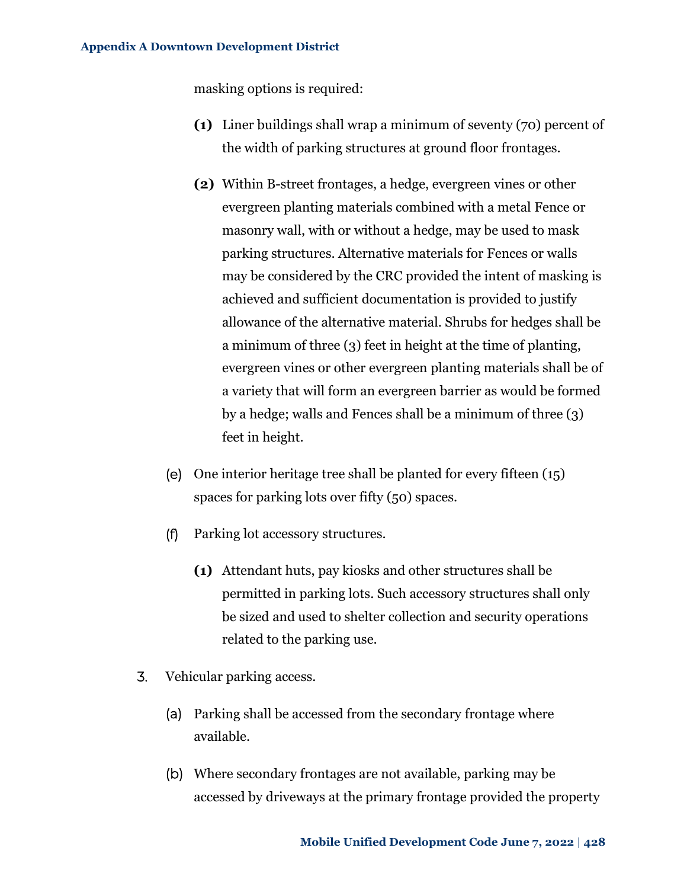masking options is required:

- **(1)** Liner buildings shall wrap a minimum of seventy (70) percent of the width of parking structures at ground floor frontages.
- **(2)** Within B-street frontages, a hedge, evergreen vines or other evergreen planting materials combined with a metal Fence or masonry wall, with or without a hedge, may be used to mask parking structures. Alternative materials for Fences or walls may be considered by the CRC provided the intent of masking is achieved and sufficient documentation is provided to justify allowance of the alternative material. Shrubs for hedges shall be a minimum of three (3) feet in height at the time of planting, evergreen vines or other evergreen planting materials shall be of a variety that will form an evergreen barrier as would be formed by a hedge; walls and Fences shall be a minimum of three (3) feet in height.
- (e) One interior heritage tree shall be planted for every fifteen (15) spaces for parking lots over fifty (50) spaces.
- (f) Parking lot accessory structures.
	- **(1)** Attendant huts, pay kiosks and other structures shall be permitted in parking lots. Such accessory structures shall only be sized and used to shelter collection and security operations related to the parking use.
- 3. Vehicular parking access.
	- (a) Parking shall be accessed from the secondary frontage where available.
	- (b) Where secondary frontages are not available, parking may be accessed by driveways at the primary frontage provided the property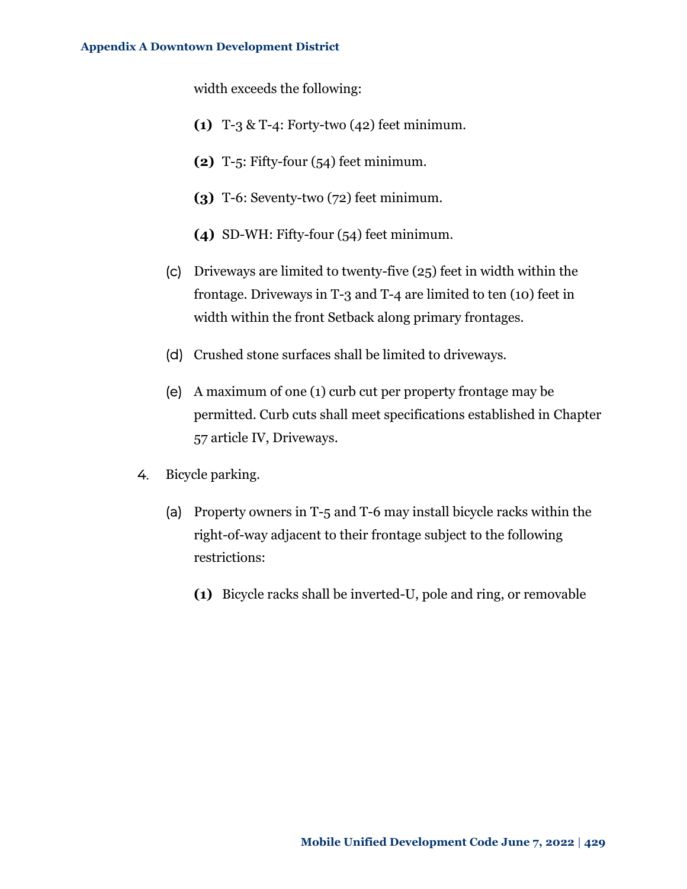width exceeds the following:

- **(1)** T-3 & T-4: Forty-two (42) feet minimum.
- **(2)** T-5: Fifty-four (54) feet minimum.
- **(3)** T-6: Seventy-two (72) feet minimum.
- **(4)** SD-WH: Fifty-four (54) feet minimum.
- (c) Driveways are limited to twenty-five (25) feet in width within the frontage. Driveways in T-3 and T-4 are limited to ten (10) feet in width within the front Setback along primary frontages.
- (d) Crushed stone surfaces shall be limited to driveways.
- (e) A maximum of one (1) curb cut per property frontage may be permitted. Curb cuts shall meet specifications established in Chapter 57 article IV, Driveways.
- 4. Bicycle parking.
	- (a) Property owners in T-5 and T-6 may install bicycle racks within the right-of-way adjacent to their frontage subject to the following restrictions:
		- **(1)** Bicycle racks shall be inverted-U, pole and ring, or removable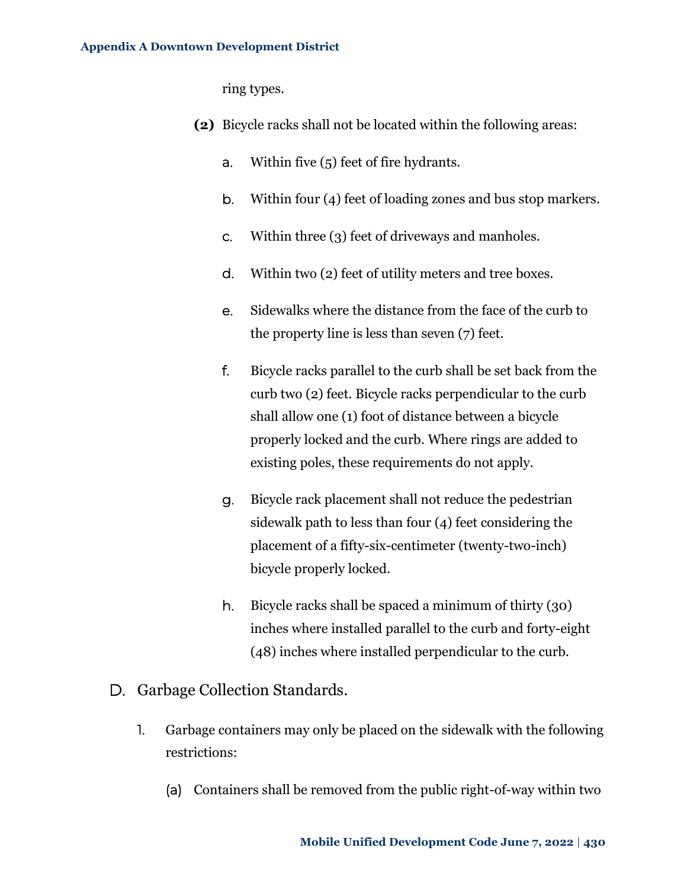ring types.

- **(2)** Bicycle racks shall not be located within the following areas:
	- a. Within five (5) feet of fire hydrants.
	- b. Within four (4) feet of loading zones and bus stop markers.
	- c. Within three (3) feet of driveways and manholes.
	- d. Within two (2) feet of utility meters and tree boxes.
	- e. Sidewalks where the distance from the face of the curb to the property line is less than seven (7) feet.
	- f. Bicycle racks parallel to the curb shall be set back from the curb two (2) feet. Bicycle racks perpendicular to the curb shall allow one (1) foot of distance between a bicycle properly locked and the curb. Where rings are added to existing poles, these requirements do not apply.
	- g. Bicycle rack placement shall not reduce the pedestrian sidewalk path to less than four (4) feet considering the placement of a fifty-six-centimeter (twenty-two-inch) bicycle properly locked.
	- h. Bicycle racks shall be spaced a minimum of thirty (30) inches where installed parallel to the curb and forty-eight (48) inches where installed perpendicular to the curb.
- <span id="page-21-0"></span>D. Garbage Collection Standards.
	- 1. Garbage containers may only be placed on the sidewalk with the following restrictions:
		- (a) Containers shall be removed from the public right-of-way within two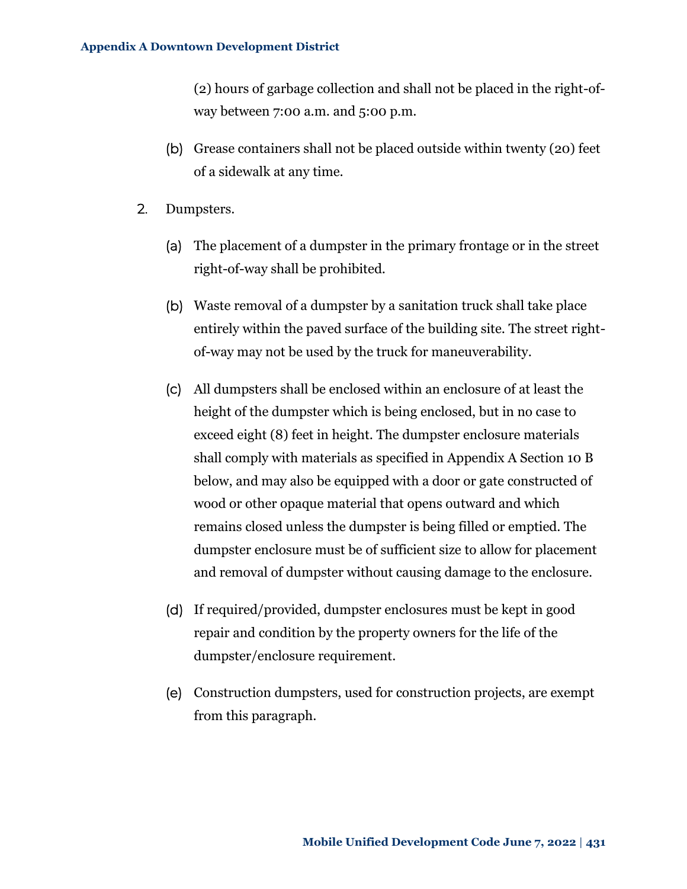(2) hours of garbage collection and shall not be placed in the right-ofway between 7:00 a.m. and 5:00 p.m.

- (b) Grease containers shall not be placed outside within twenty (20) feet of a sidewalk at any time.
- 2. Dumpsters.
	- (a) The placement of a dumpster in the primary frontage or in the street right-of-way shall be prohibited.
	- (b) Waste removal of a dumpster by a sanitation truck shall take place entirely within the paved surface of the building site. The street rightof-way may not be used by the truck for maneuverability.
	- (c) All dumpsters shall be enclosed within an enclosure of at least the height of the dumpster which is being enclosed, but in no case to exceed eight (8) feet in height. The dumpster enclosure materials shall comply with materials as specified in [Appendix A Section 10 B](#page-24-0)  [below,](#page-24-0) and may also be equipped with a door or gate constructed of wood or other opaque material that opens outward and which remains closed unless the dumpster is being filled or emptied. The dumpster enclosure must be of sufficient size to allow for placement and removal of dumpster without causing damage to the enclosure.
	- (d) If required/provided, dumpster enclosures must be kept in good repair and condition by the property owners for the life of the dumpster/enclosure requirement.
	- (e) Construction dumpsters, used for construction projects, are exempt from this paragraph.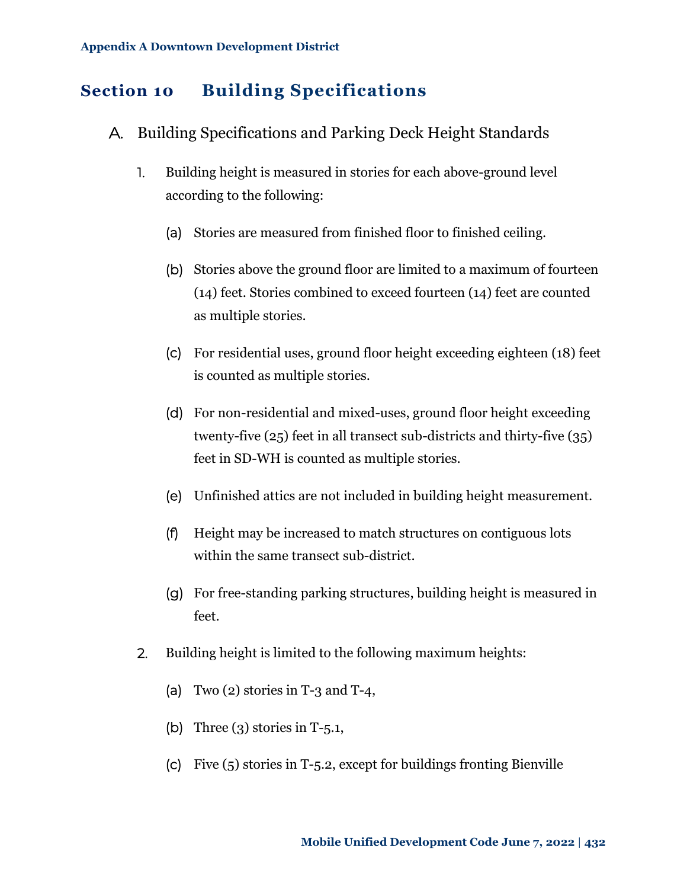# <span id="page-23-0"></span>**Section 10 Building Specifications**

- <span id="page-23-1"></span>A. Building Specifications and Parking Deck Height Standards
	- 1. Building height is measured in stories for each above-ground level according to the following:
		- (a) Stories are measured from finished floor to finished ceiling.
		- (b) Stories above the ground floor are limited to a maximum of fourteen (14) feet. Stories combined to exceed fourteen (14) feet are counted as multiple stories.
		- (c) For residential uses, ground floor height exceeding eighteen (18) feet is counted as multiple stories.
		- (d) For non-residential and mixed-uses, ground floor height exceeding twenty-five (25) feet in all transect sub-districts and thirty-five (35) feet in SD-WH is counted as multiple stories.
		- (e) Unfinished attics are not included in building height measurement.
		- (f) Height may be increased to match structures on contiguous lots within the same transect sub-district.
		- (g) For free-standing parking structures, building height is measured in feet.
	- 2. Building height is limited to the following maximum heights:
		- (a) Two  $(2)$  stories in T-3 and T-4,
		- (b) Three  $(3)$  stories in T-5.1,
		- (c) Five (5) stories in T-5.2, except for buildings fronting Bienville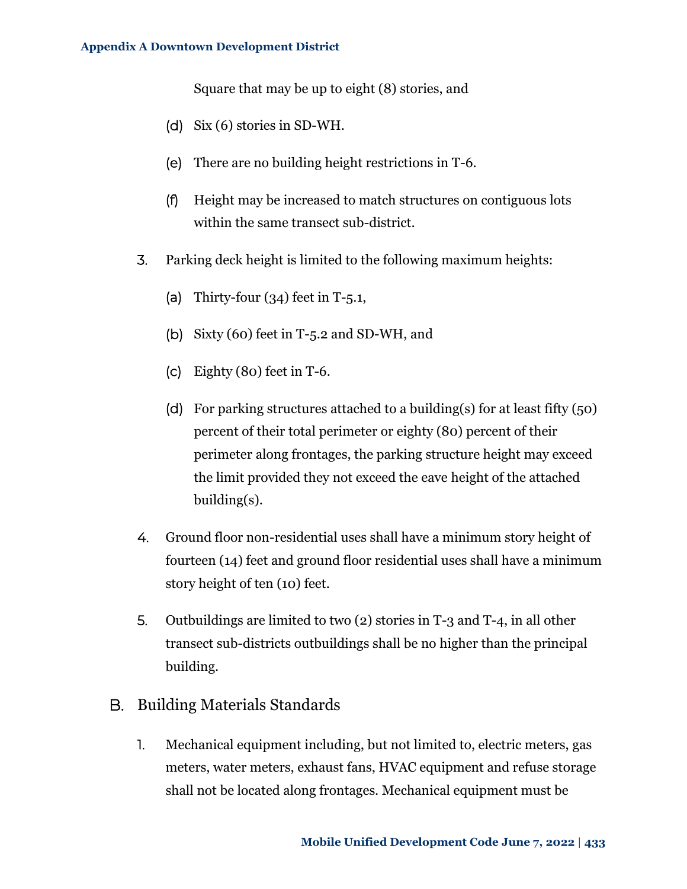Square that may be up to eight (8) stories, and

- (d) Six (6) stories in SD-WH.
- (e) There are no building height restrictions in T-6.
- (f) Height may be increased to match structures on contiguous lots within the same transect sub-district.
- 3. Parking deck height is limited to the following maximum heights:
	- (a) Thirty-four  $(34)$  feet in T-5.1,
	- (b) Sixty (60) feet in T-5.2 and SD-WH, and
	- (c) Eighty (80) feet in T-6.
	- (d) For parking structures attached to a building(s) for at least fifty  $(50)$ percent of their total perimeter or eighty (80) percent of their perimeter along frontages, the parking structure height may exceed the limit provided they not exceed the eave height of the attached building(s).
- 4. Ground floor non-residential uses shall have a minimum story height of fourteen (14) feet and ground floor residential uses shall have a minimum story height of ten (10) feet.
- 5. Outbuildings are limited to two (2) stories in T-3 and T-4, in all other transect sub-districts outbuildings shall be no higher than the principal building.
- <span id="page-24-0"></span>B. Building Materials Standards
	- 1. Mechanical equipment including, but not limited to, electric meters, gas meters, water meters, exhaust fans, HVAC equipment and refuse storage shall not be located along frontages. Mechanical equipment must be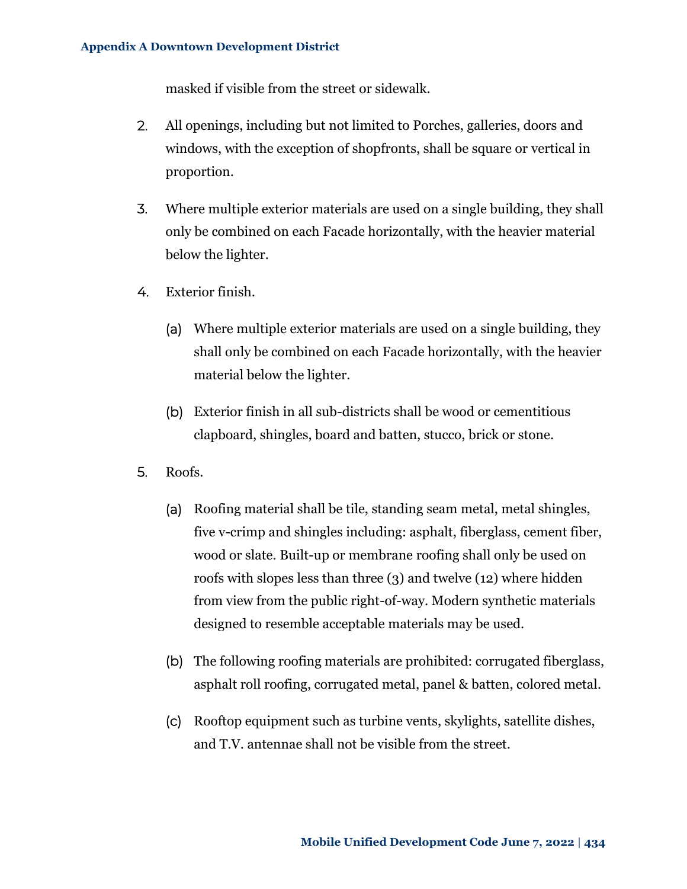masked if visible from the street or sidewalk.

- 2. All openings, including but not limited to Porches, galleries, doors and windows, with the exception of shopfronts, shall be square or vertical in proportion.
- 3. Where multiple exterior materials are used on a single building, they shall only be combined on each Facade horizontally, with the heavier material below the lighter.
- 4. Exterior finish.
	- (a) Where multiple exterior materials are used on a single building, they shall only be combined on each Facade horizontally, with the heavier material below the lighter.
	- (b) Exterior finish in all sub-districts shall be wood or cementitious clapboard, shingles, board and batten, stucco, brick or stone.
- 5. Roofs.
	- (a) Roofing material shall be tile, standing seam metal, metal shingles, five v-crimp and shingles including: asphalt, fiberglass, cement fiber, wood or slate. Built-up or membrane roofing shall only be used on roofs with slopes less than three (3) and twelve (12) where hidden from view from the public right-of-way. Modern synthetic materials designed to resemble acceptable materials may be used.
	- (b) The following roofing materials are prohibited: corrugated fiberglass, asphalt roll roofing, corrugated metal, panel & batten, colored metal.
	- (c) Rooftop equipment such as turbine vents, skylights, satellite dishes, and T.V. antennae shall not be visible from the street.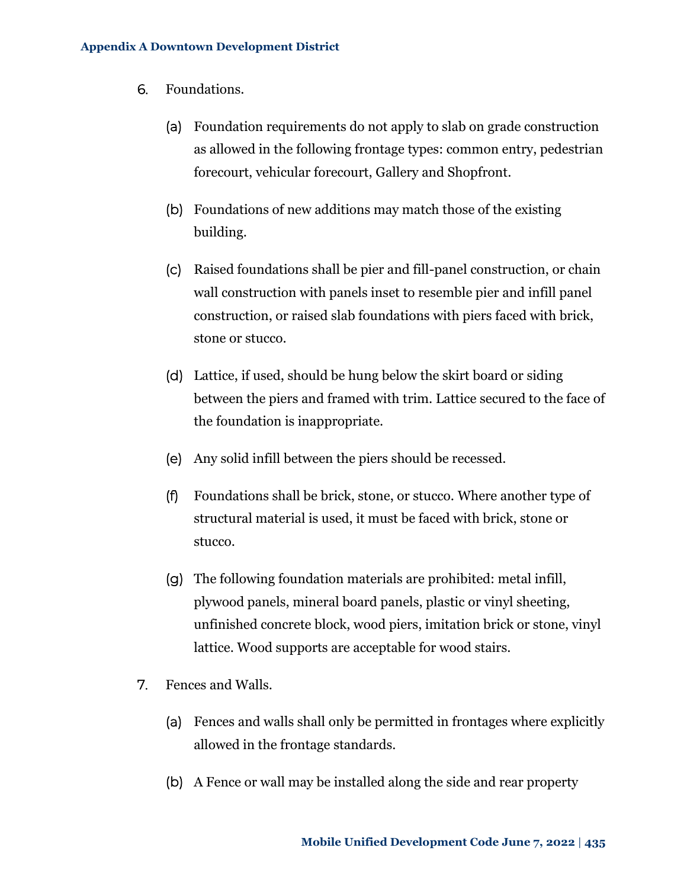- 6. Foundations.
	- (a) Foundation requirements do not apply to slab on grade construction as allowed in the following frontage types: common entry, pedestrian forecourt, vehicular forecourt, Gallery and Shopfront.
	- (b) Foundations of new additions may match those of the existing building.
	- (c) Raised foundations shall be pier and fill-panel construction, or chain wall construction with panels inset to resemble pier and infill panel construction, or raised slab foundations with piers faced with brick, stone or stucco.
	- (d) Lattice, if used, should be hung below the skirt board or siding between the piers and framed with trim. Lattice secured to the face of the foundation is inappropriate.
	- (e) Any solid infill between the piers should be recessed.
	- (f) Foundations shall be brick, stone, or stucco. Where another type of structural material is used, it must be faced with brick, stone or stucco.
	- (g) The following foundation materials are prohibited: metal infill, plywood panels, mineral board panels, plastic or vinyl sheeting, unfinished concrete block, wood piers, imitation brick or stone, vinyl lattice. Wood supports are acceptable for wood stairs.
- 7. Fences and Walls.
	- (a) Fences and walls shall only be permitted in frontages where explicitly allowed in the frontage standards.
	- (b) A Fence or wall may be installed along the side and rear property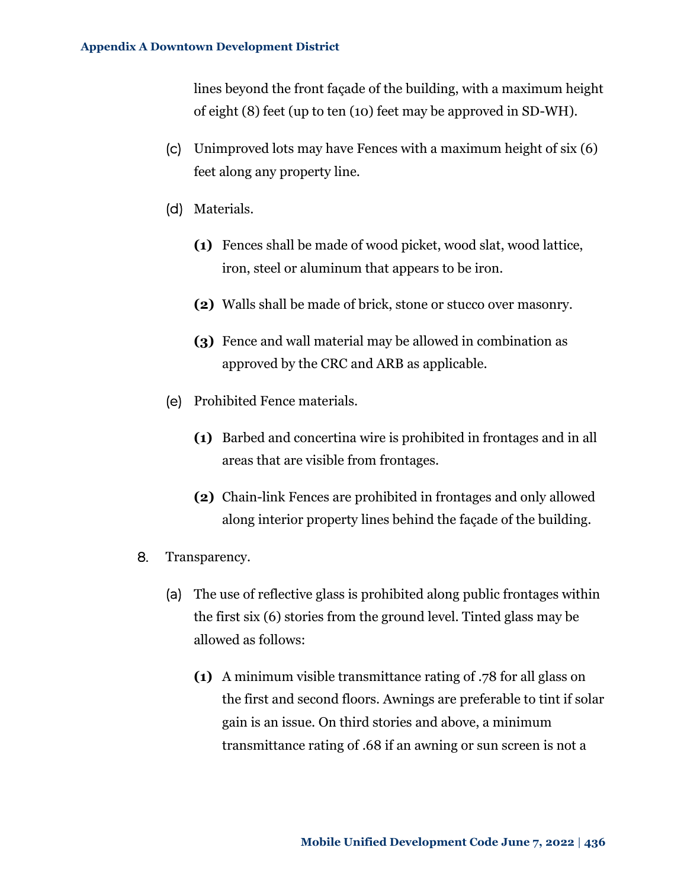lines beyond the front façade of the building, with a maximum height of eight (8) feet (up to ten (10) feet may be approved in SD-WH).

- (c) Unimproved lots may have Fences with a maximum height of six (6) feet along any property line.
- (d) Materials.
	- **(1)** Fences shall be made of wood picket, wood slat, wood lattice, iron, steel or aluminum that appears to be iron.
	- **(2)** Walls shall be made of brick, stone or stucco over masonry.
	- **(3)** Fence and wall material may be allowed in combination as approved by the CRC and ARB as applicable.
- (e) Prohibited Fence materials.
	- **(1)** Barbed and concertina wire is prohibited in frontages and in all areas that are visible from frontages.
	- **(2)** Chain-link Fences are prohibited in frontages and only allowed along interior property lines behind the façade of the building.
- 8. Transparency.
	- (a) The use of reflective glass is prohibited along public frontages within the first six (6) stories from the ground level. Tinted glass may be allowed as follows:
		- **(1)** A minimum visible transmittance rating of .78 for all glass on the first and second floors. Awnings are preferable to tint if solar gain is an issue. On third stories and above, a minimum transmittance rating of .68 if an awning or sun screen is not a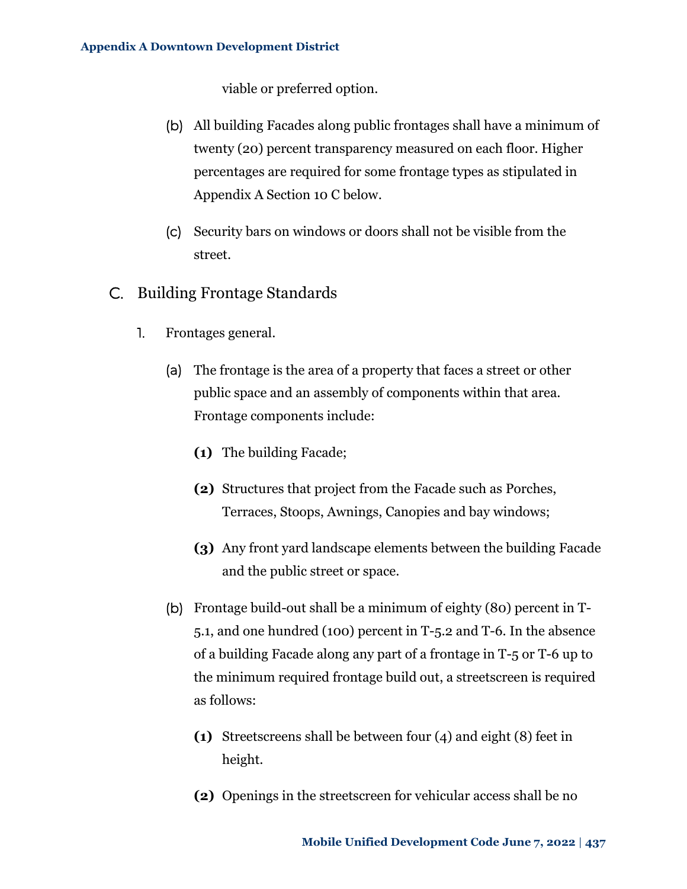viable or preferred option.

- (b) All building Facades along public frontages shall have a minimum of twenty (20) percent transparency measured on each floor. Higher percentages are required for some frontage types as stipulated in [Appendix A Section 10 C below.](#page-28-0)
- (c) Security bars on windows or doors shall not be visible from the street.
- <span id="page-28-0"></span>C. Building Frontage Standards
	- 1. Frontages general.
		- (a) The frontage is the area of a property that faces a street or other public space and an assembly of components within that area. Frontage components include:
			- **(1)** The building Facade;
			- **(2)** Structures that project from the Facade such as Porches, Terraces, Stoops, Awnings, Canopies and bay windows;
			- **(3)** Any front yard landscape elements between the building Facade and the public street or space.
		- (b) Frontage build-out shall be a minimum of eighty (80) percent in T-5.1, and one hundred (100) percent in T-5.2 and T-6. In the absence of a building Facade along any part of a frontage in T-5 or T-6 up to the minimum required frontage build out, a streetscreen is required as follows:
			- **(1)** Streetscreens shall be between four (4) and eight (8) feet in height.
			- **(2)** Openings in the streetscreen for vehicular access shall be no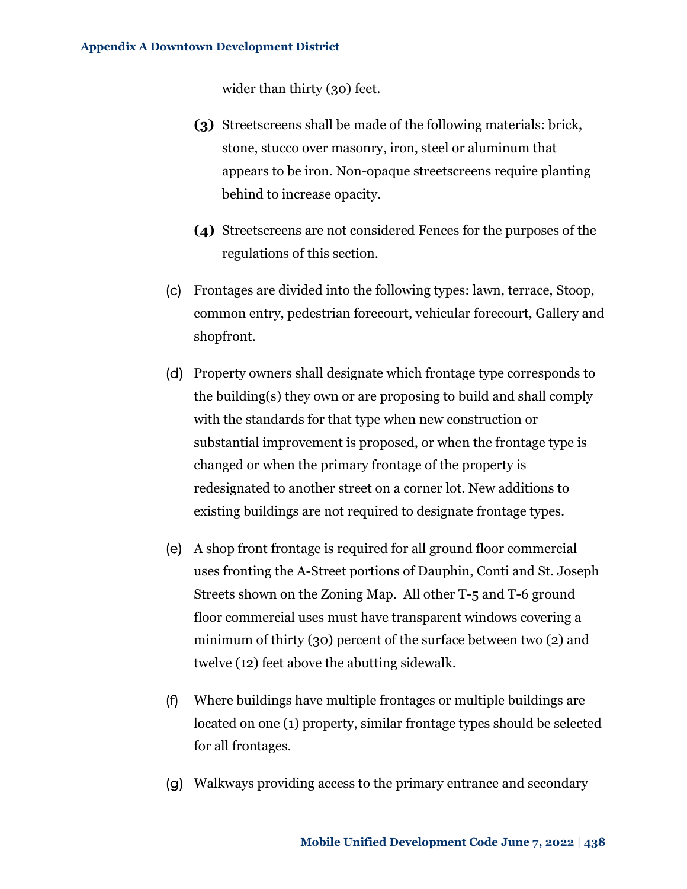wider than thirty (30) feet.

- **(3)** Streetscreens shall be made of the following materials: brick, stone, stucco over masonry, iron, steel or aluminum that appears to be iron. Non-opaque streetscreens require planting behind to increase opacity.
- **(4)** Streetscreens are not considered Fences for the purposes of the regulations of this section.
- (c) Frontages are divided into the following types: lawn, terrace, Stoop, common entry, pedestrian forecourt, vehicular forecourt, Gallery and shopfront.
- (d) Property owners shall designate which frontage type corresponds to the building(s) they own or are proposing to build and shall comply with the standards for that type when new construction or substantial improvement is proposed, or when the frontage type is changed or when the primary frontage of the property is redesignated to another street on a corner lot. New additions to existing buildings are not required to designate frontage types.
- (e) A shop front frontage is required for all ground floor commercial uses fronting the A-Street portions of Dauphin, Conti and St. Joseph Streets shown on the Zoning Map. All other T-5 and T-6 ground floor commercial uses must have transparent windows covering a minimum of thirty (30) percent of the surface between two (2) and twelve (12) feet above the abutting sidewalk.
- (f) Where buildings have multiple frontages or multiple buildings are located on one (1) property, similar frontage types should be selected for all frontages.
- (g) Walkways providing access to the primary entrance and secondary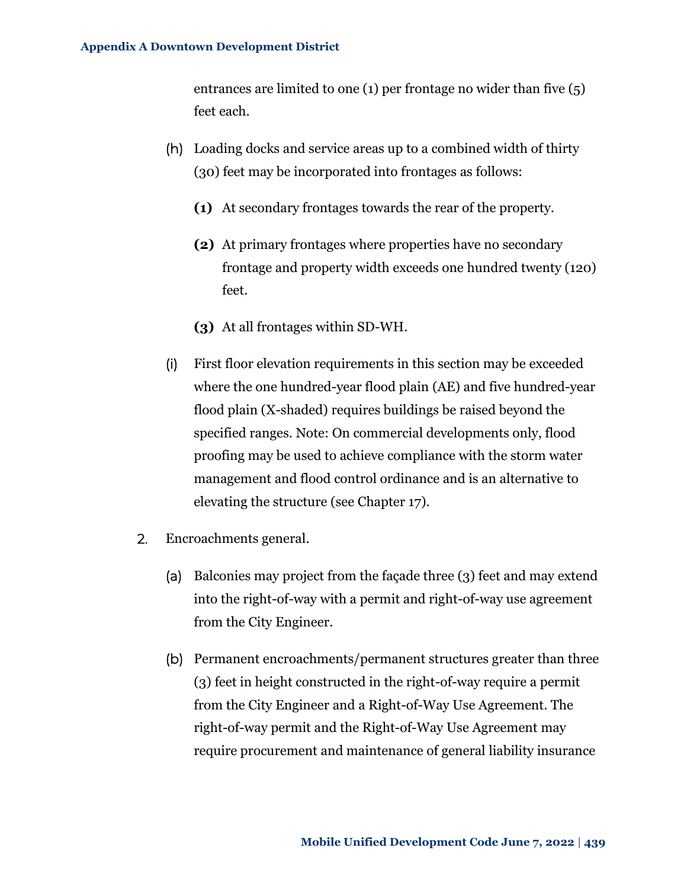entrances are limited to one (1) per frontage no wider than five (5) feet each.

- (h) Loading docks and service areas up to a combined width of thirty (30) feet may be incorporated into frontages as follows:
	- **(1)** At secondary frontages towards the rear of the property.
	- **(2)** At primary frontages where properties have no secondary frontage and property width exceeds one hundred twenty (120) feet.
	- **(3)** At all frontages within SD-WH.
- (i) First floor elevation requirements in this section may be exceeded where the one hundred-year flood plain (AE) and five hundred-year flood plain (X-shaded) requires buildings be raised beyond the specified ranges. Note: On commercial developments only, flood proofing may be used to achieve compliance with the storm water management and flood control ordinance and is an alternative to elevating the structure (see Chapter 17).
- 2. Encroachments general.
	- (a) Balconies may project from the façade three (3) feet and may extend into the right-of-way with a permit and right-of-way use agreement from the City Engineer.
	- (b) Permanent encroachments/permanent structures greater than three (3) feet in height constructed in the right-of-way require a permit from the City Engineer and a Right-of-Way Use Agreement. The right-of-way permit and the Right-of-Way Use Agreement may require procurement and maintenance of general liability insurance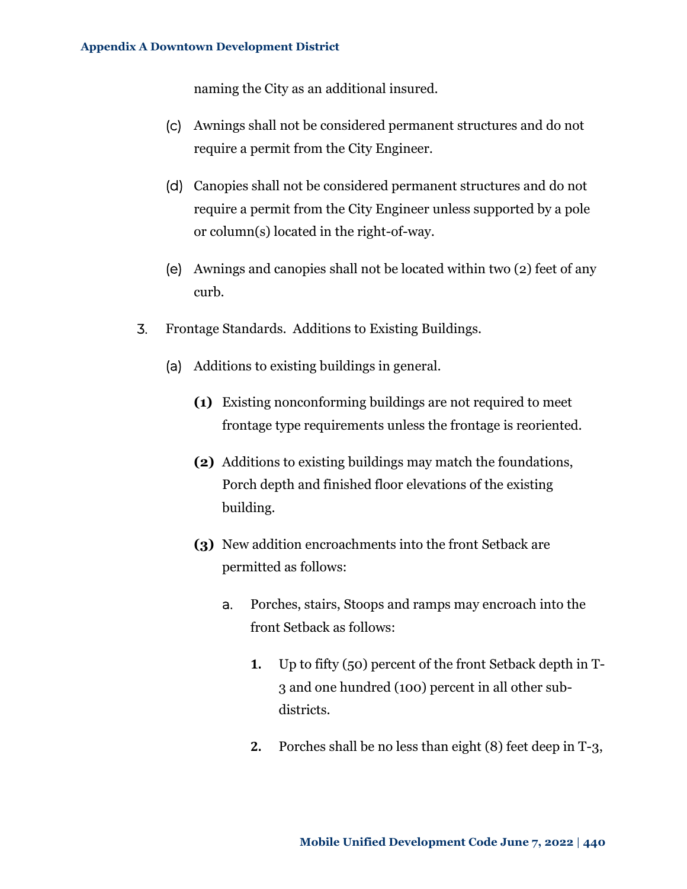naming the City as an additional insured.

- (c) Awnings shall not be considered permanent structures and do not require a permit from the City Engineer.
- (d) Canopies shall not be considered permanent structures and do not require a permit from the City Engineer unless supported by a pole or column(s) located in the right-of-way.
- (e) Awnings and canopies shall not be located within two (2) feet of any curb.
- 3. Frontage Standards. Additions to Existing Buildings.
	- (a) Additions to existing buildings in general.
		- **(1)** Existing nonconforming buildings are not required to meet frontage type requirements unless the frontage is reoriented.
		- **(2)** Additions to existing buildings may match the foundations, Porch depth and finished floor elevations of the existing building.
		- **(3)** New addition encroachments into the front Setback are permitted as follows:
			- a. Porches, stairs, Stoops and ramps may encroach into the front Setback as follows:
				- **1.** Up to fifty (50) percent of the front Setback depth in T-3 and one hundred (100) percent in all other subdistricts.
				- **2.** Porches shall be no less than eight (8) feet deep in T-3,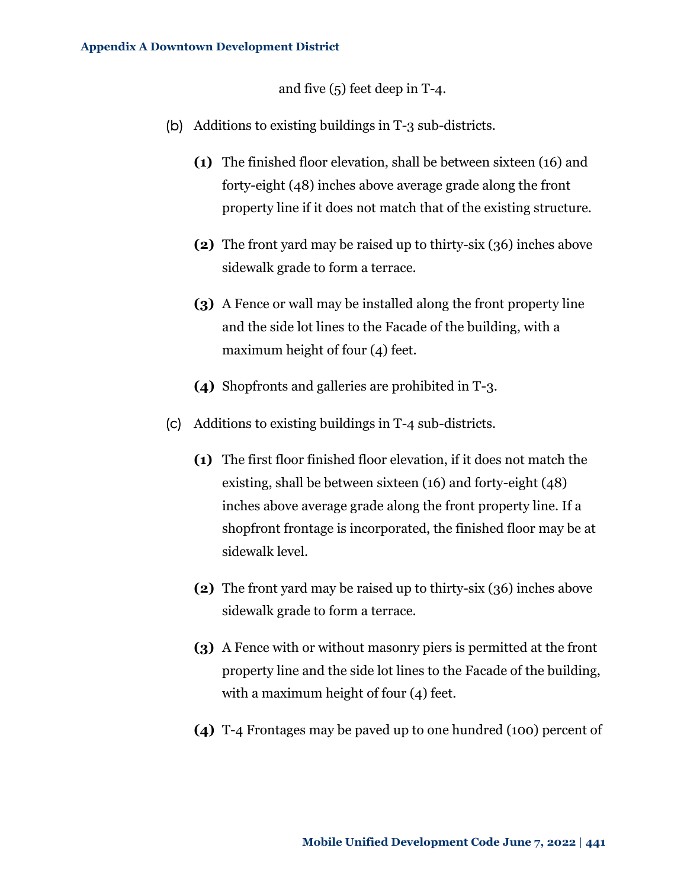and five (5) feet deep in T-4.

- (b) Additions to existing buildings in T-3 sub-districts.
	- **(1)** The finished floor elevation, shall be between sixteen (16) and forty-eight (48) inches above average grade along the front property line if it does not match that of the existing structure.
	- **(2)** The front yard may be raised up to thirty-six (36) inches above sidewalk grade to form a terrace.
	- **(3)** A Fence or wall may be installed along the front property line and the side lot lines to the Facade of the building, with a maximum height of four (4) feet.
	- **(4)** Shopfronts and galleries are prohibited in T-3.
- (c) Additions to existing buildings in T-4 sub-districts.
	- **(1)** The first floor finished floor elevation, if it does not match the existing, shall be between sixteen (16) and forty-eight (48) inches above average grade along the front property line. If a shopfront frontage is incorporated, the finished floor may be at sidewalk level.
	- **(2)** The front yard may be raised up to thirty-six (36) inches above sidewalk grade to form a terrace.
	- **(3)** A Fence with or without masonry piers is permitted at the front property line and the side lot lines to the Facade of the building, with a maximum height of four (4) feet.
	- **(4)** T-4 Frontages may be paved up to one hundred (100) percent of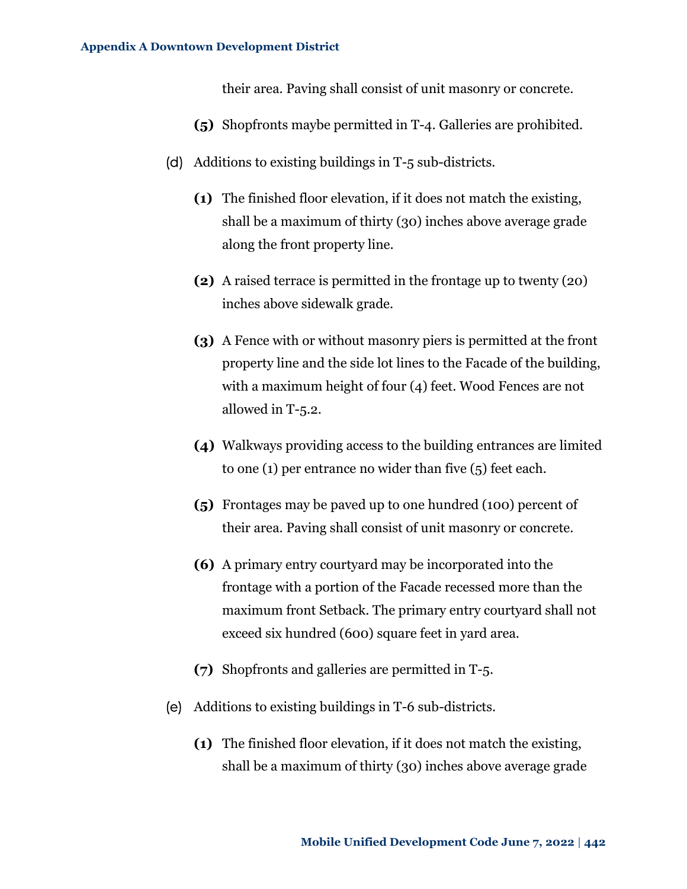their area. Paving shall consist of unit masonry or concrete.

- **(5)** Shopfronts maybe permitted in T-4. Galleries are prohibited.
- (d) Additions to existing buildings in T-5 sub-districts.
	- **(1)** The finished floor elevation, if it does not match the existing, shall be a maximum of thirty (30) inches above average grade along the front property line.
	- **(2)** A raised terrace is permitted in the frontage up to twenty (20) inches above sidewalk grade.
	- **(3)** A Fence with or without masonry piers is permitted at the front property line and the side lot lines to the Facade of the building, with a maximum height of four (4) feet. Wood Fences are not allowed in T-5.2.
	- **(4)** Walkways providing access to the building entrances are limited to one (1) per entrance no wider than five (5) feet each.
	- **(5)** Frontages may be paved up to one hundred (100) percent of their area. Paving shall consist of unit masonry or concrete.
	- **(6)** A primary entry courtyard may be incorporated into the frontage with a portion of the Facade recessed more than the maximum front Setback. The primary entry courtyard shall not exceed six hundred (600) square feet in yard area.
	- **(7)** Shopfronts and galleries are permitted in T-5.
- (e) Additions to existing buildings in T-6 sub-districts.
	- **(1)** The finished floor elevation, if it does not match the existing, shall be a maximum of thirty (30) inches above average grade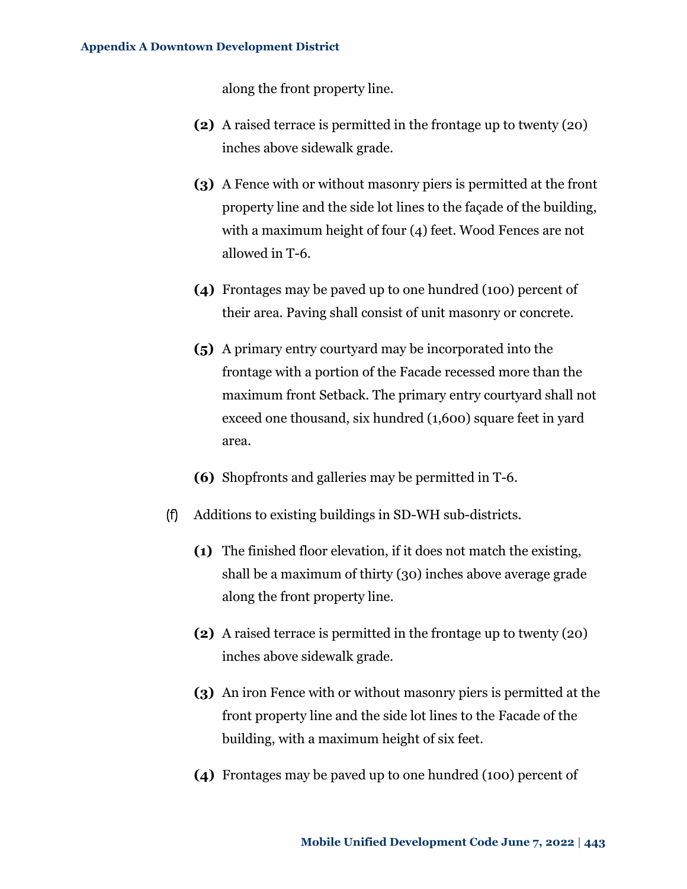along the front property line.

- **(2)** A raised terrace is permitted in the frontage up to twenty (20) inches above sidewalk grade.
- **(3)** A Fence with or without masonry piers is permitted at the front property line and the side lot lines to the façade of the building, with a maximum height of four (4) feet. Wood Fences are not allowed in T-6.
- **(4)** Frontages may be paved up to one hundred (100) percent of their area. Paving shall consist of unit masonry or concrete.
- **(5)** A primary entry courtyard may be incorporated into the frontage with a portion of the Facade recessed more than the maximum front Setback. The primary entry courtyard shall not exceed one thousand, six hundred (1,600) square feet in yard area.
- **(6)** Shopfronts and galleries may be permitted in T-6.
- (f) Additions to existing buildings in SD-WH sub-districts.
	- **(1)** The finished floor elevation, if it does not match the existing, shall be a maximum of thirty (30) inches above average grade along the front property line.
	- **(2)** A raised terrace is permitted in the frontage up to twenty (20) inches above sidewalk grade.
	- **(3)** An iron Fence with or without masonry piers is permitted at the front property line and the side lot lines to the Facade of the building, with a maximum height of six feet.
	- **(4)** Frontages may be paved up to one hundred (100) percent of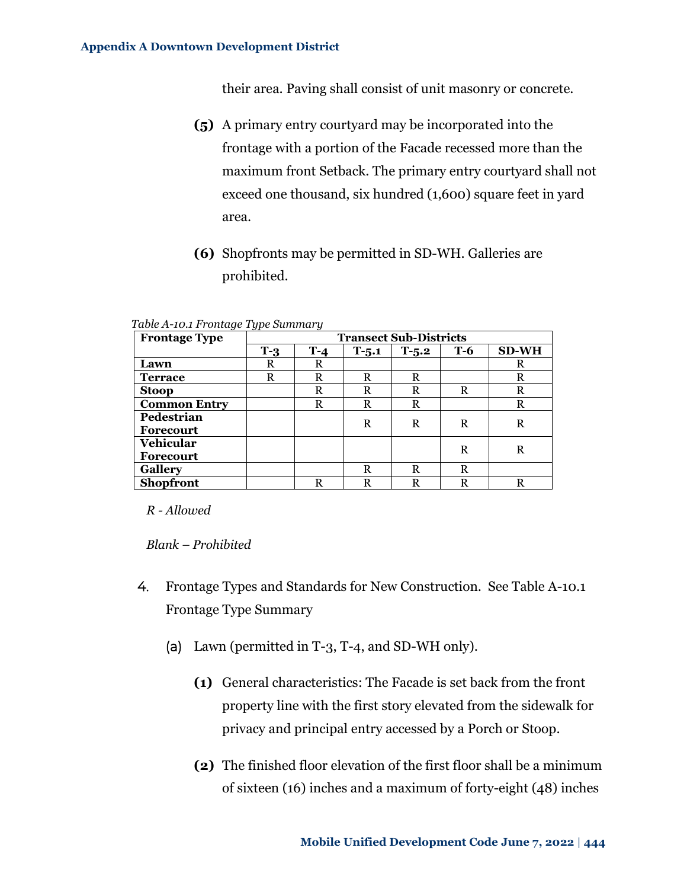their area. Paving shall consist of unit masonry or concrete.

- **(5)** A primary entry courtyard may be incorporated into the frontage with a portion of the Facade recessed more than the maximum front Setback. The primary entry courtyard shall not exceed one thousand, six hundred (1,600) square feet in yard area.
- **(6)** Shopfronts may be permitted in SD-WH. Galleries are prohibited.

| $\tilde{\phantom{a}}$<br><b>Frontage Type</b> | ◡▴<br><b>Transect Sub-Districts</b> |       |           |         |            |              |
|-----------------------------------------------|-------------------------------------|-------|-----------|---------|------------|--------------|
|                                               | $T-3$                               | $T-4$ | $T - 5.1$ | $T-5.2$ | <b>T-6</b> | <b>SD-WH</b> |
| Lawn                                          | R                                   | R     |           |         |            | R            |
| <b>Terrace</b>                                | R                                   | R     | R         | R       |            | R            |
| <b>Stoop</b>                                  |                                     | R     | R         | R       | R          | R            |
| <b>Common Entry</b>                           |                                     | R     | R         | R       |            | R            |
| Pedestrian                                    |                                     |       | R         | R       | R          | R            |
| <b>Forecourt</b>                              |                                     |       |           |         |            |              |
| <b>Vehicular</b>                              |                                     |       |           |         | R          | R            |
| <b>Forecourt</b>                              |                                     |       |           |         |            |              |
| <b>Gallery</b>                                |                                     |       | R         | R       | R          |              |
| <b>Shopfront</b>                              |                                     | R     | R         | R       | R          |              |

<span id="page-35-0"></span>*Table A-10.1 Frontage Type Summary*

*R - Allowed*

*Blank – Prohibited*

- 4. Frontage Types and Standards for New Construction. See [Table A-10.1](#page-35-0) [Frontage Type Summary](#page-35-0)
	- (a) Lawn (permitted in T-3, T-4, and SD-WH only).
		- **(1)** General characteristics: The Facade is set back from the front property line with the first story elevated from the sidewalk for privacy and principal entry accessed by a Porch or Stoop.
		- **(2)** The finished floor elevation of the first floor shall be a minimum of sixteen (16) inches and a maximum of forty-eight (48) inches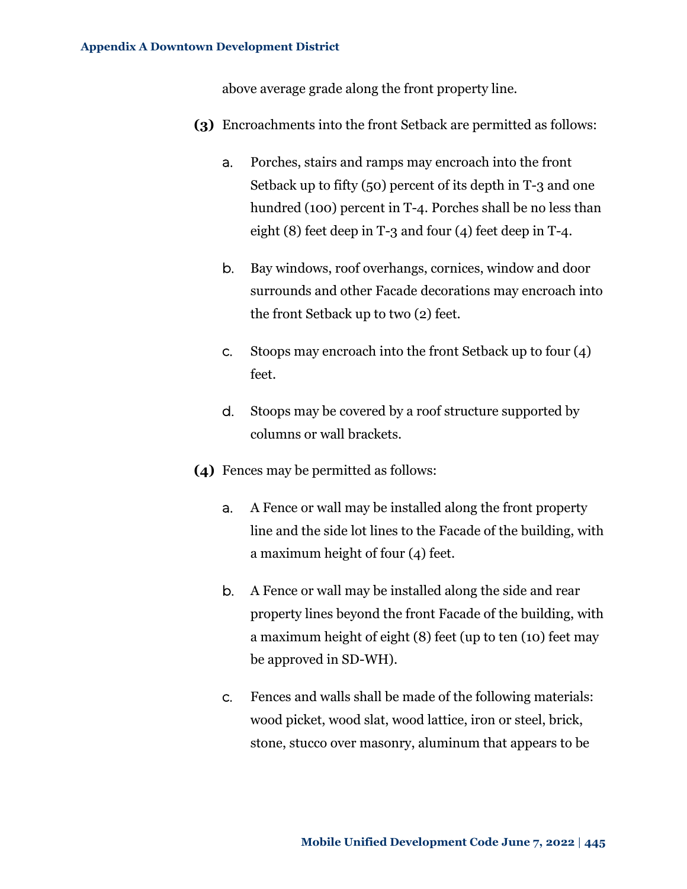above average grade along the front property line.

- **(3)** Encroachments into the front Setback are permitted as follows:
	- a. Porches, stairs and ramps may encroach into the front Setback up to fifty (50) percent of its depth in T-3 and one hundred (100) percent in T-4. Porches shall be no less than eight (8) feet deep in T-3 and four (4) feet deep in T-4.
	- b. Bay windows, roof overhangs, cornices, window and door surrounds and other Facade decorations may encroach into the front Setback up to two (2) feet.
	- c. Stoops may encroach into the front Setback up to four (4) feet.
	- d. Stoops may be covered by a roof structure supported by columns or wall brackets.
- **(4)** Fences may be permitted as follows:
	- a. A Fence or wall may be installed along the front property line and the side lot lines to the Facade of the building, with a maximum height of four (4) feet.
	- b. A Fence or wall may be installed along the side and rear property lines beyond the front Facade of the building, with a maximum height of eight (8) feet (up to ten (10) feet may be approved in SD-WH).
	- c. Fences and walls shall be made of the following materials: wood picket, wood slat, wood lattice, iron or steel, brick, stone, stucco over masonry, aluminum that appears to be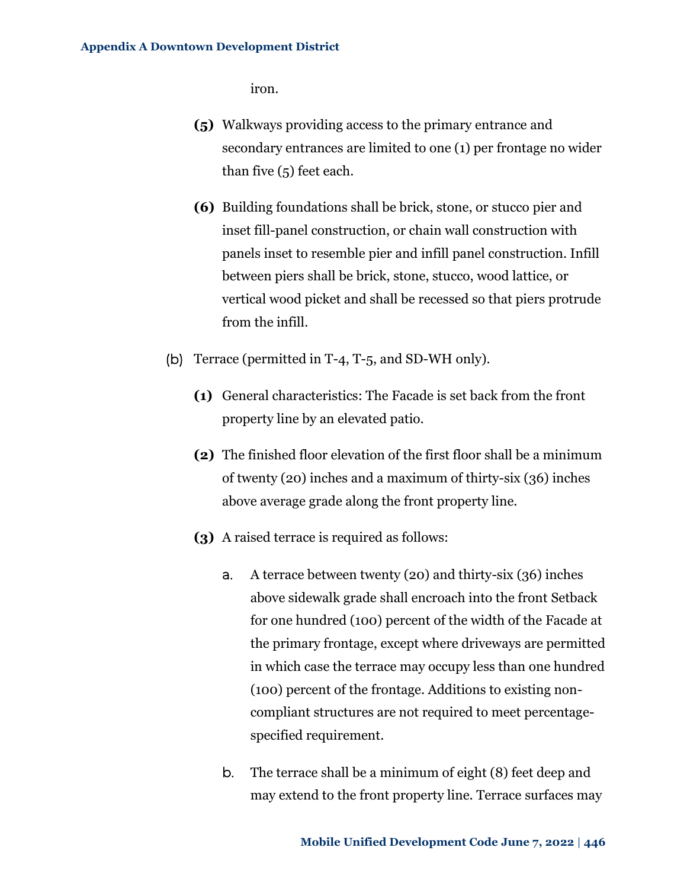iron.

- **(5)** Walkways providing access to the primary entrance and secondary entrances are limited to one (1) per frontage no wider than five (5) feet each.
- **(6)** Building foundations shall be brick, stone, or stucco pier and inset fill-panel construction, or chain wall construction with panels inset to resemble pier and infill panel construction. Infill between piers shall be brick, stone, stucco, wood lattice, or vertical wood picket and shall be recessed so that piers protrude from the infill.
- (b) Terrace (permitted in T-4, T-5, and SD-WH only).
	- **(1)** General characteristics: The Facade is set back from the front property line by an elevated patio.
	- **(2)** The finished floor elevation of the first floor shall be a minimum of twenty (20) inches and a maximum of thirty-six (36) inches above average grade along the front property line.
	- **(3)** A raised terrace is required as follows:
		- a. A terrace between twenty (20) and thirty-six (36) inches above sidewalk grade shall encroach into the front Setback for one hundred (100) percent of the width of the Facade at the primary frontage, except where driveways are permitted in which case the terrace may occupy less than one hundred (100) percent of the frontage. Additions to existing noncompliant structures are not required to meet percentagespecified requirement.
		- b. The terrace shall be a minimum of eight (8) feet deep and may extend to the front property line. Terrace surfaces may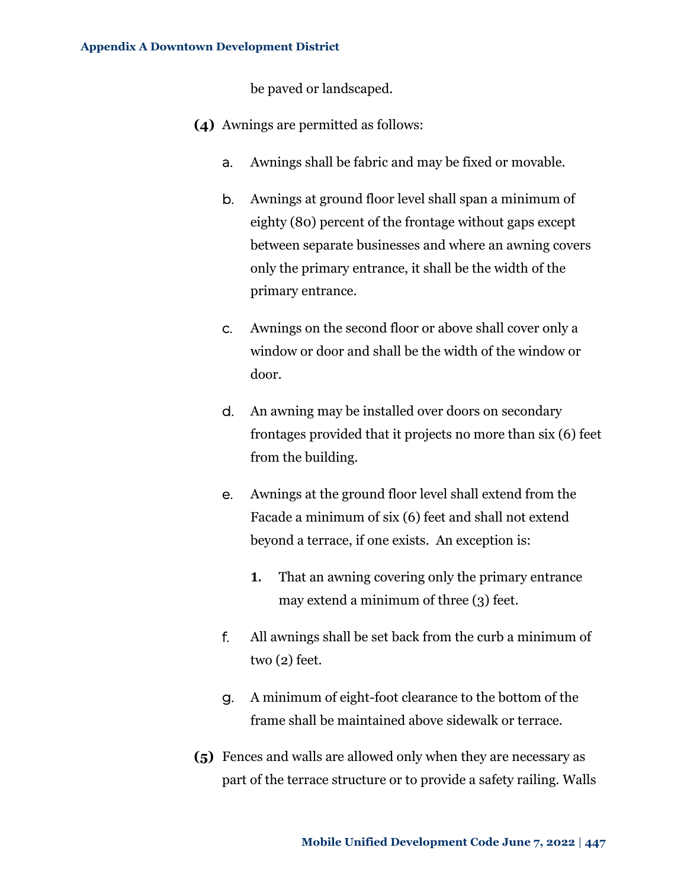be paved or landscaped.

- **(4)** Awnings are permitted as follows:
	- a. Awnings shall be fabric and may be fixed or movable.
	- b. Awnings at ground floor level shall span a minimum of eighty (80) percent of the frontage without gaps except between separate businesses and where an awning covers only the primary entrance, it shall be the width of the primary entrance.
	- c. Awnings on the second floor or above shall cover only a window or door and shall be the width of the window or door.
	- d. An awning may be installed over doors on secondary frontages provided that it projects no more than six (6) feet from the building.
	- e. Awnings at the ground floor level shall extend from the Facade a minimum of six (6) feet and shall not extend beyond a terrace, if one exists. An exception is:
		- **1.** That an awning covering only the primary entrance may extend a minimum of three (3) feet.
	- f. All awnings shall be set back from the curb a minimum of two (2) feet.
	- g. A minimum of eight-foot clearance to the bottom of the frame shall be maintained above sidewalk or terrace.
- **(5)** Fences and walls are allowed only when they are necessary as part of the terrace structure or to provide a safety railing. Walls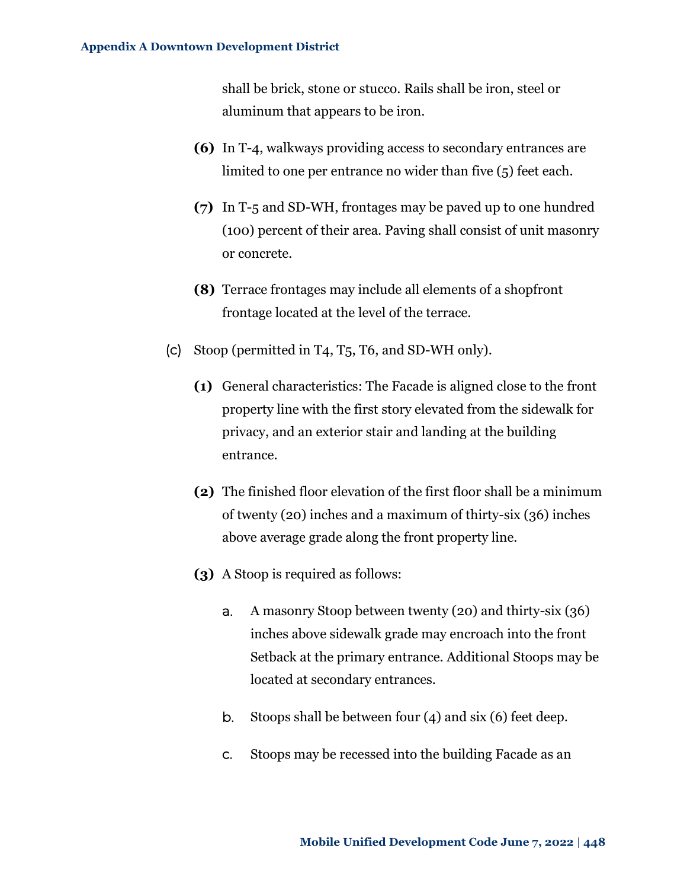shall be brick, stone or stucco. Rails shall be iron, steel or aluminum that appears to be iron.

- **(6)** In T-4, walkways providing access to secondary entrances are limited to one per entrance no wider than five (5) feet each.
- **(7)** In T-5 and SD-WH, frontages may be paved up to one hundred (100) percent of their area. Paving shall consist of unit masonry or concrete.
- **(8)** Terrace frontages may include all elements of a shopfront frontage located at the level of the terrace.
- (c) Stoop (permitted in T4, T5, T6, and SD-WH only).
	- **(1)** General characteristics: The Facade is aligned close to the front property line with the first story elevated from the sidewalk for privacy, and an exterior stair and landing at the building entrance.
	- **(2)** The finished floor elevation of the first floor shall be a minimum of twenty (20) inches and a maximum of thirty-six (36) inches above average grade along the front property line.
	- **(3)** A Stoop is required as follows:
		- a. A masonry Stoop between twenty (20) and thirty-six (36) inches above sidewalk grade may encroach into the front Setback at the primary entrance. Additional Stoops may be located at secondary entrances.
		- b. Stoops shall be between four (4) and six (6) feet deep.
		- c. Stoops may be recessed into the building Facade as an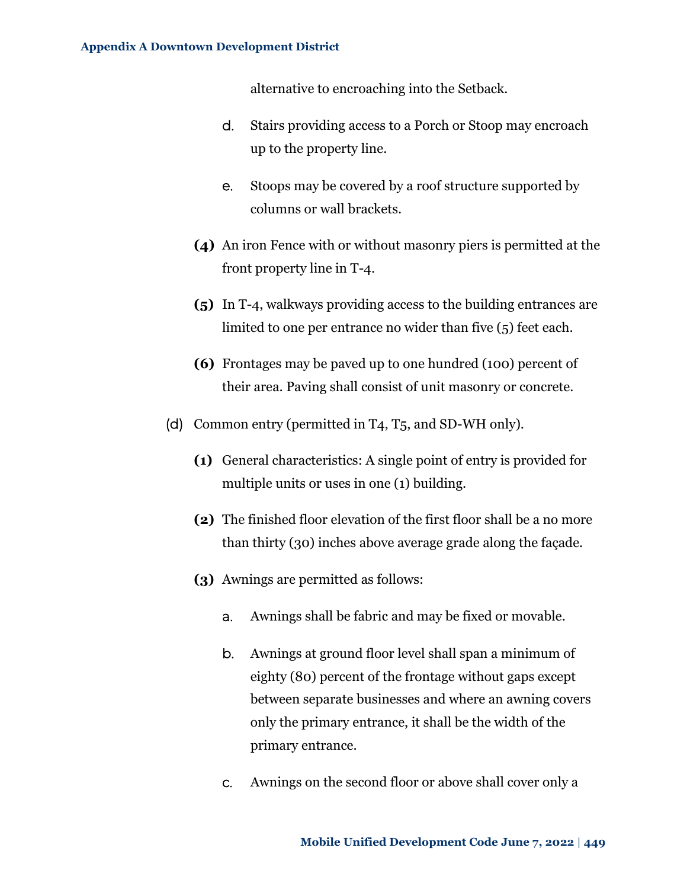alternative to encroaching into the Setback.

- d. Stairs providing access to a Porch or Stoop may encroach up to the property line.
- e. Stoops may be covered by a roof structure supported by columns or wall brackets.
- **(4)** An iron Fence with or without masonry piers is permitted at the front property line in T-4.
- **(5)** In T-4, walkways providing access to the building entrances are limited to one per entrance no wider than five (5) feet each.
- **(6)** Frontages may be paved up to one hundred (100) percent of their area. Paving shall consist of unit masonry or concrete.
- (d) Common entry (permitted in T4, T5, and SD-WH only).
	- **(1)** General characteristics: A single point of entry is provided for multiple units or uses in one (1) building.
	- **(2)** The finished floor elevation of the first floor shall be a no more than thirty (30) inches above average grade along the façade.
	- **(3)** Awnings are permitted as follows:
		- a. Awnings shall be fabric and may be fixed or movable.
		- b. Awnings at ground floor level shall span a minimum of eighty (80) percent of the frontage without gaps except between separate businesses and where an awning covers only the primary entrance, it shall be the width of the primary entrance.
		- c. Awnings on the second floor or above shall cover only a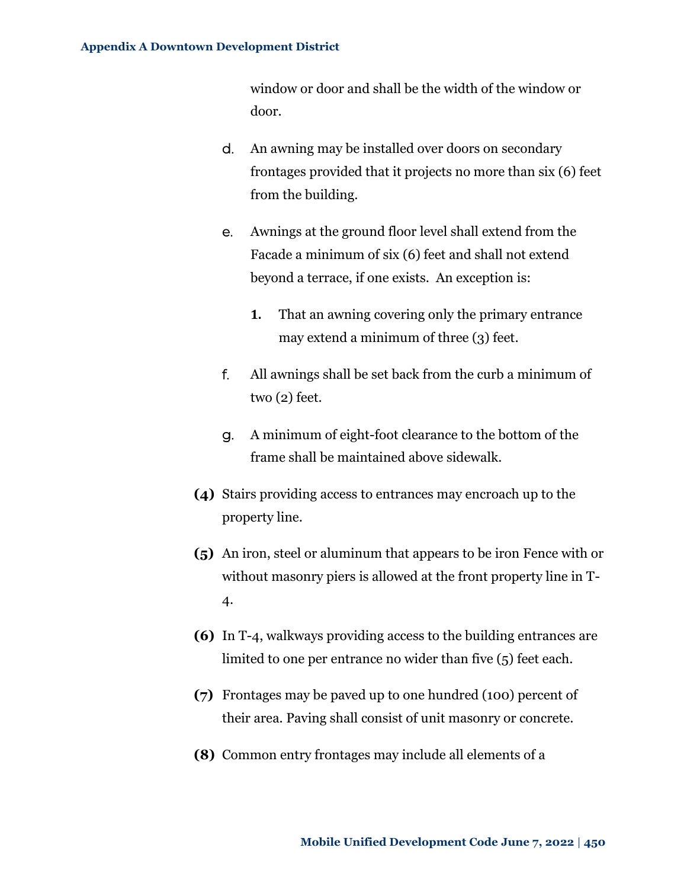window or door and shall be the width of the window or door.

- d. An awning may be installed over doors on secondary frontages provided that it projects no more than six (6) feet from the building.
- e. Awnings at the ground floor level shall extend from the Facade a minimum of six (6) feet and shall not extend beyond a terrace, if one exists. An exception is:
	- **1.** That an awning covering only the primary entrance may extend a minimum of three (3) feet.
- f. All awnings shall be set back from the curb a minimum of two (2) feet.
- g. A minimum of eight-foot clearance to the bottom of the frame shall be maintained above sidewalk.
- **(4)** Stairs providing access to entrances may encroach up to the property line.
- **(5)** An iron, steel or aluminum that appears to be iron Fence with or without masonry piers is allowed at the front property line in T-4.
- **(6)** In T-4, walkways providing access to the building entrances are limited to one per entrance no wider than five (5) feet each.
- **(7)** Frontages may be paved up to one hundred (100) percent of their area. Paving shall consist of unit masonry or concrete.
- **(8)** Common entry frontages may include all elements of a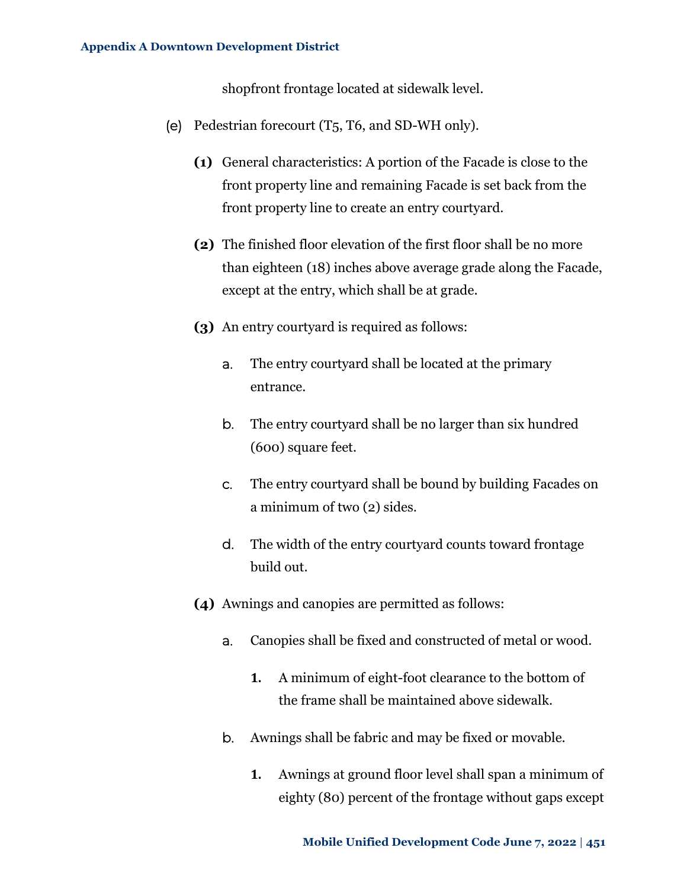shopfront frontage located at sidewalk level.

- (e) Pedestrian forecourt (T5, T6, and SD-WH only).
	- **(1)** General characteristics: A portion of the Facade is close to the front property line and remaining Facade is set back from the front property line to create an entry courtyard.
	- **(2)** The finished floor elevation of the first floor shall be no more than eighteen (18) inches above average grade along the Facade, except at the entry, which shall be at grade.
	- **(3)** An entry courtyard is required as follows:
		- a. The entry courtyard shall be located at the primary entrance.
		- b. The entry courtyard shall be no larger than six hundred (600) square feet.
		- c. The entry courtyard shall be bound by building Facades on a minimum of two (2) sides.
		- d. The width of the entry courtyard counts toward frontage build out.
	- **(4)** Awnings and canopies are permitted as follows:
		- a. Canopies shall be fixed and constructed of metal or wood.
			- **1.** A minimum of eight-foot clearance to the bottom of the frame shall be maintained above sidewalk.
		- b. Awnings shall be fabric and may be fixed or movable.
			- **1.** Awnings at ground floor level shall span a minimum of eighty (80) percent of the frontage without gaps except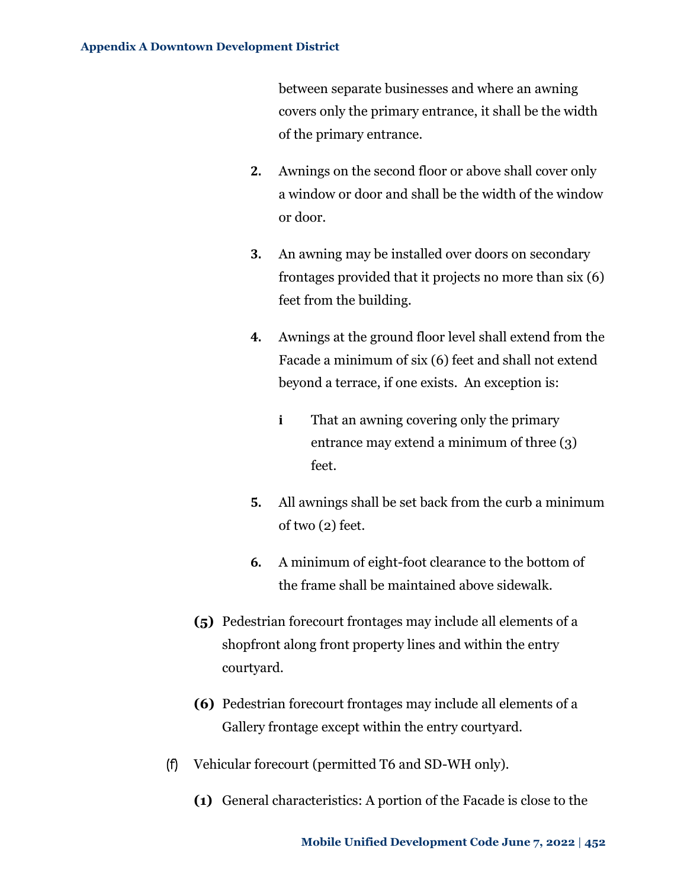between separate businesses and where an awning covers only the primary entrance, it shall be the width of the primary entrance.

- **2.** Awnings on the second floor or above shall cover only a window or door and shall be the width of the window or door.
- **3.** An awning may be installed over doors on secondary frontages provided that it projects no more than six (6) feet from the building.
- **4.** Awnings at the ground floor level shall extend from the Facade a minimum of six (6) feet and shall not extend beyond a terrace, if one exists. An exception is:
	- **i** That an awning covering only the primary entrance may extend a minimum of three (3) feet.
- **5.** All awnings shall be set back from the curb a minimum of two (2) feet.
- **6.** A minimum of eight-foot clearance to the bottom of the frame shall be maintained above sidewalk.
- **(5)** Pedestrian forecourt frontages may include all elements of a shopfront along front property lines and within the entry courtyard.
- **(6)** Pedestrian forecourt frontages may include all elements of a Gallery frontage except within the entry courtyard.
- (f) Vehicular forecourt (permitted T6 and SD-WH only).
	- **(1)** General characteristics: A portion of the Facade is close to the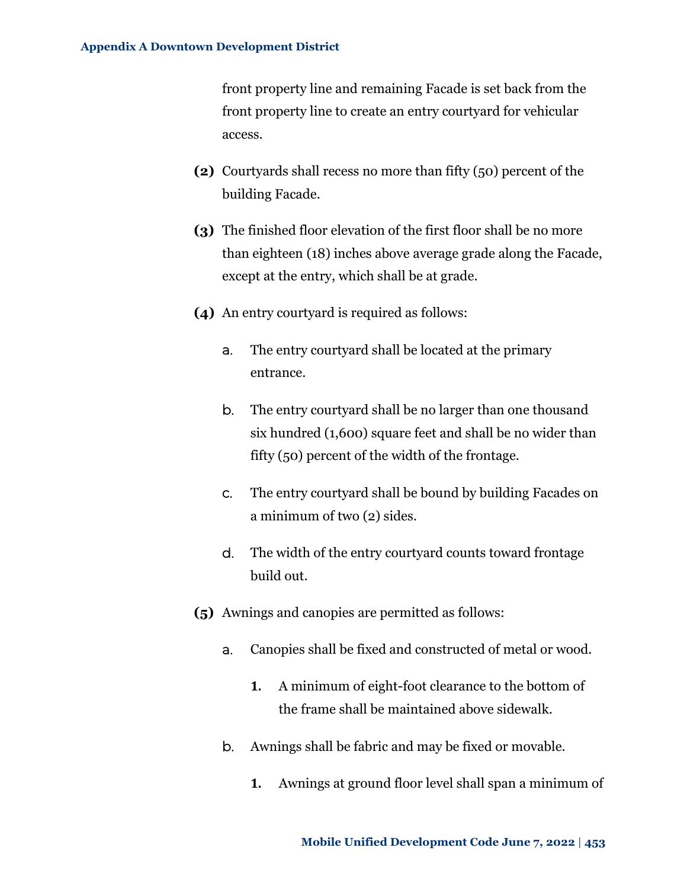front property line and remaining Facade is set back from the front property line to create an entry courtyard for vehicular access.

- **(2)** Courtyards shall recess no more than fifty (50) percent of the building Facade.
- **(3)** The finished floor elevation of the first floor shall be no more than eighteen (18) inches above average grade along the Facade, except at the entry, which shall be at grade.
- **(4)** An entry courtyard is required as follows:
	- a. The entry courtyard shall be located at the primary entrance.
	- b. The entry courtyard shall be no larger than one thousand six hundred (1,600) square feet and shall be no wider than fifty (50) percent of the width of the frontage.
	- c. The entry courtyard shall be bound by building Facades on a minimum of two (2) sides.
	- d. The width of the entry courtyard counts toward frontage build out.
- **(5)** Awnings and canopies are permitted as follows:
	- a. Canopies shall be fixed and constructed of metal or wood.
		- **1.** A minimum of eight-foot clearance to the bottom of the frame shall be maintained above sidewalk.
	- b. Awnings shall be fabric and may be fixed or movable.
		- **1.** Awnings at ground floor level shall span a minimum of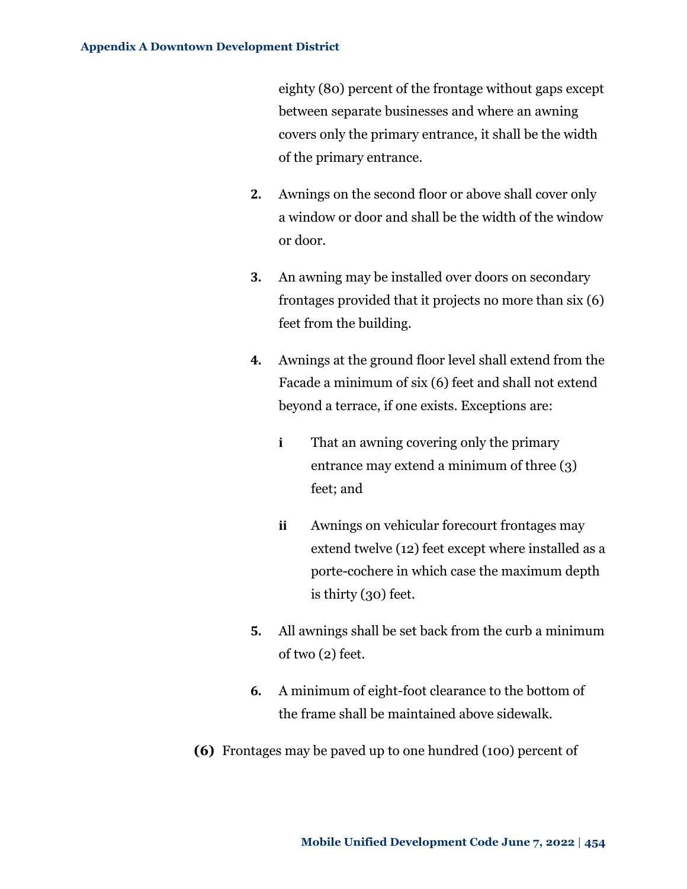eighty (80) percent of the frontage without gaps except between separate businesses and where an awning covers only the primary entrance, it shall be the width of the primary entrance.

- **2.** Awnings on the second floor or above shall cover only a window or door and shall be the width of the window or door.
- **3.** An awning may be installed over doors on secondary frontages provided that it projects no more than six (6) feet from the building.
- **4.** Awnings at the ground floor level shall extend from the Facade a minimum of six (6) feet and shall not extend beyond a terrace, if one exists. Exceptions are:
	- **i** That an awning covering only the primary entrance may extend a minimum of three (3) feet; and
	- **ii** Awnings on vehicular forecourt frontages may extend twelve (12) feet except where installed as a porte-cochere in which case the maximum depth is thirty (30) feet.
- **5.** All awnings shall be set back from the curb a minimum of two (2) feet.
- **6.** A minimum of eight-foot clearance to the bottom of the frame shall be maintained above sidewalk.
- **(6)** Frontages may be paved up to one hundred (100) percent of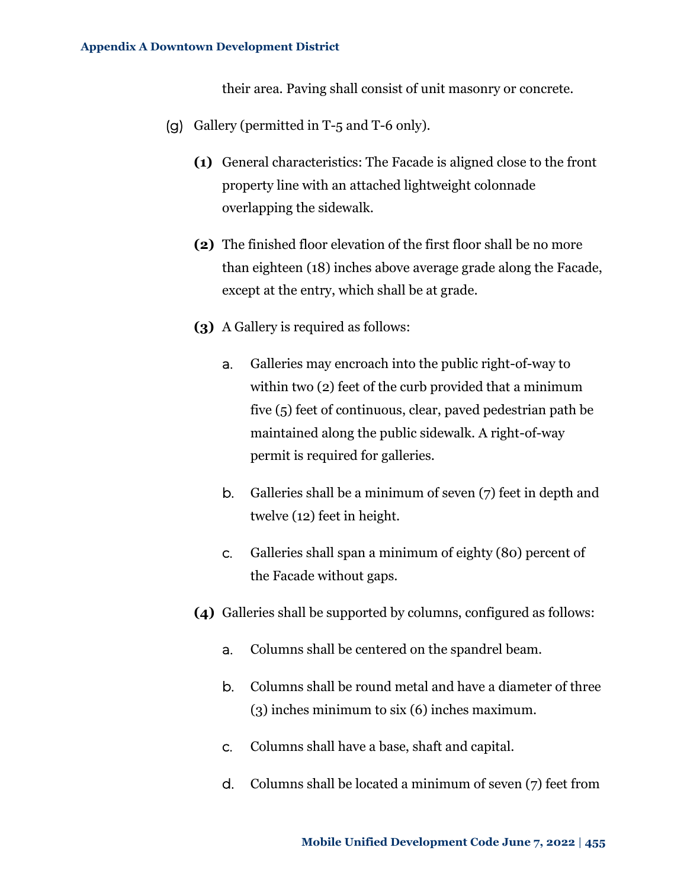their area. Paving shall consist of unit masonry or concrete.

- (g) Gallery (permitted in T-5 and T-6 only).
	- **(1)** General characteristics: The Facade is aligned close to the front property line with an attached lightweight colonnade overlapping the sidewalk.
	- **(2)** The finished floor elevation of the first floor shall be no more than eighteen (18) inches above average grade along the Facade, except at the entry, which shall be at grade.
	- **(3)** A Gallery is required as follows:
		- a. Galleries may encroach into the public right-of-way to within two (2) feet of the curb provided that a minimum five (5) feet of continuous, clear, paved pedestrian path be maintained along the public sidewalk. A right-of-way permit is required for galleries.
		- b. Galleries shall be a minimum of seven (7) feet in depth and twelve (12) feet in height.
		- c. Galleries shall span a minimum of eighty (80) percent of the Facade without gaps.
	- **(4)** Galleries shall be supported by columns, configured as follows:
		- a. Columns shall be centered on the spandrel beam.
		- b. Columns shall be round metal and have a diameter of three (3) inches minimum to six (6) inches maximum.
		- c. Columns shall have a base, shaft and capital.
		- d. Columns shall be located a minimum of seven (7) feet from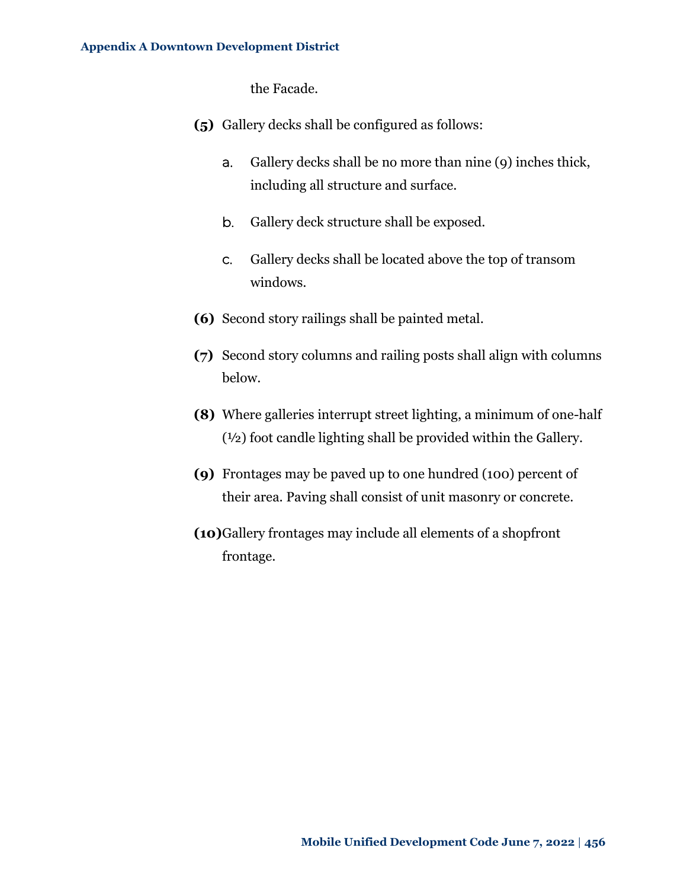the Facade.

- **(5)** Gallery decks shall be configured as follows:
	- a. Gallery decks shall be no more than nine (9) inches thick, including all structure and surface.
	- b. Gallery deck structure shall be exposed.
	- c. Gallery decks shall be located above the top of transom windows.
- **(6)** Second story railings shall be painted metal.
- **(7)** Second story columns and railing posts shall align with columns below.
- **(8)** Where galleries interrupt street lighting, a minimum of one-half (½) foot candle lighting shall be provided within the Gallery.
- **(9)** Frontages may be paved up to one hundred (100) percent of their area. Paving shall consist of unit masonry or concrete.
- **(10)**Gallery frontages may include all elements of a shopfront frontage.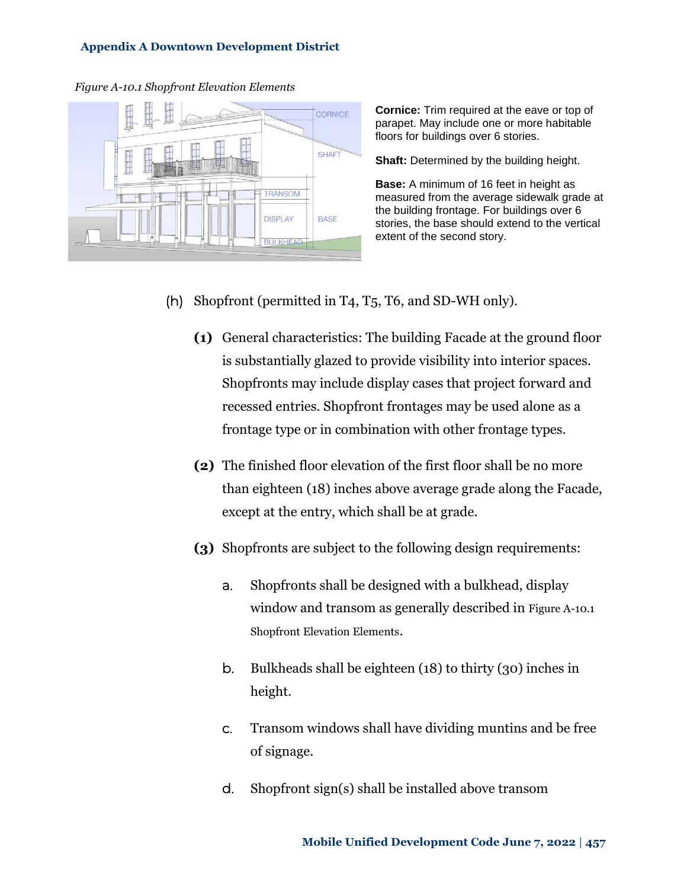### <span id="page-48-0"></span>*Figure A-10.1 Shopfront Elevation Elements*



**Cornice:** Trim required at the eave or top of parapet. May include one or more habitable floors for buildings over 6 stories.

**Shaft:** Determined by the building height.

**Base:** A minimum of 16 feet in height as measured from the average sidewalk grade at the building frontage. For buildings over 6 stories, the base should extend to the vertical extent of the second story.

- (h) Shopfront (permitted in T4, T5, T6, and SD-WH only).
	- **(1)** General characteristics: The building Facade at the ground floor is substantially glazed to provide visibility into interior spaces. Shopfronts may include display cases that project forward and recessed entries. Shopfront frontages may be used alone as a frontage type or in combination with other frontage types.
	- **(2)** The finished floor elevation of the first floor shall be no more than eighteen (18) inches above average grade along the Facade, except at the entry, which shall be at grade.
	- **(3)** Shopfronts are subject to the following design requirements:
		- a. Shopfronts shall be designed with a bulkhead, display window and transom as generally described in [Figure A-10.1](#page-48-0) [Shopfront Elevation Elements](#page-48-0).
		- b. Bulkheads shall be eighteen (18) to thirty (30) inches in height.
		- c. Transom windows shall have dividing muntins and be free of signage.
		- d. Shopfront sign(s) shall be installed above transom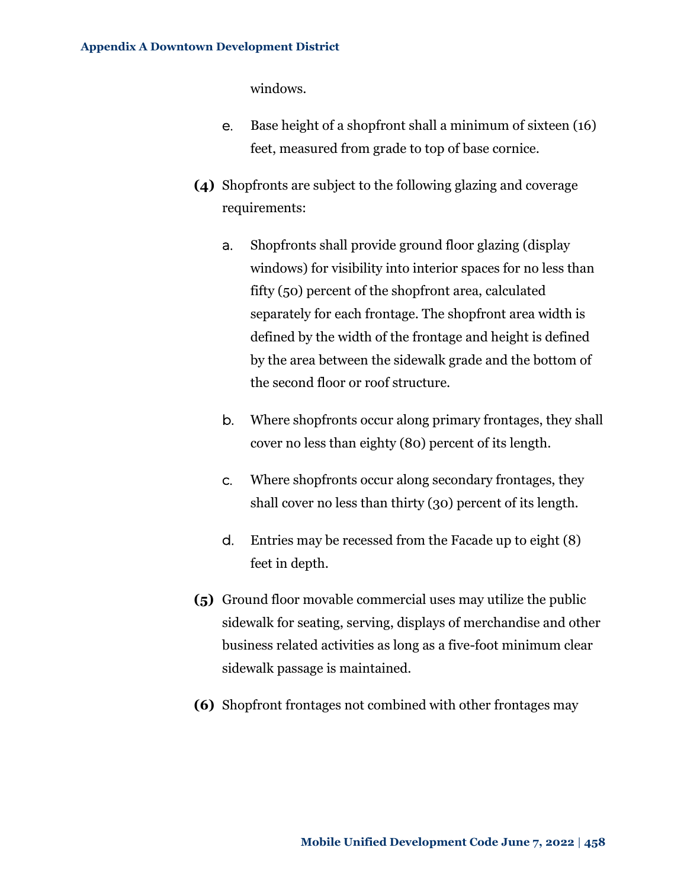windows.

- e. Base height of a shopfront shall a minimum of sixteen (16) feet, measured from grade to top of base cornice.
- **(4)** Shopfronts are subject to the following glazing and coverage requirements:
	- a. Shopfronts shall provide ground floor glazing (display windows) for visibility into interior spaces for no less than fifty (50) percent of the shopfront area, calculated separately for each frontage. The shopfront area width is defined by the width of the frontage and height is defined by the area between the sidewalk grade and the bottom of the second floor or roof structure.
	- b. Where shopfronts occur along primary frontages, they shall cover no less than eighty (80) percent of its length.
	- c. Where shopfronts occur along secondary frontages, they shall cover no less than thirty (30) percent of its length.
	- d. Entries may be recessed from the Facade up to eight (8) feet in depth.
- **(5)** Ground floor movable commercial uses may utilize the public sidewalk for seating, serving, displays of merchandise and other business related activities as long as a five-foot minimum clear sidewalk passage is maintained.
- **(6)** Shopfront frontages not combined with other frontages may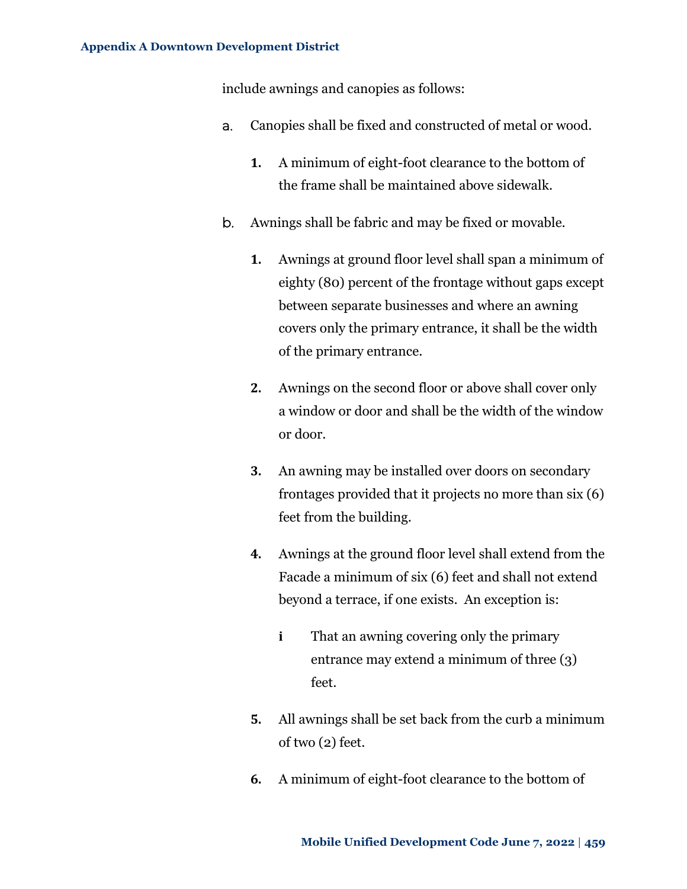include awnings and canopies as follows:

- a. Canopies shall be fixed and constructed of metal or wood.
	- **1.** A minimum of eight-foot clearance to the bottom of the frame shall be maintained above sidewalk.
- b. Awnings shall be fabric and may be fixed or movable.
	- **1.** Awnings at ground floor level shall span a minimum of eighty (80) percent of the frontage without gaps except between separate businesses and where an awning covers only the primary entrance, it shall be the width of the primary entrance.
	- **2.** Awnings on the second floor or above shall cover only a window or door and shall be the width of the window or door.
	- **3.** An awning may be installed over doors on secondary frontages provided that it projects no more than six (6) feet from the building.
	- **4.** Awnings at the ground floor level shall extend from the Facade a minimum of six (6) feet and shall not extend beyond a terrace, if one exists. An exception is:
		- **i** That an awning covering only the primary entrance may extend a minimum of three (3) feet.
	- **5.** All awnings shall be set back from the curb a minimum of two (2) feet.
	- **6.** A minimum of eight-foot clearance to the bottom of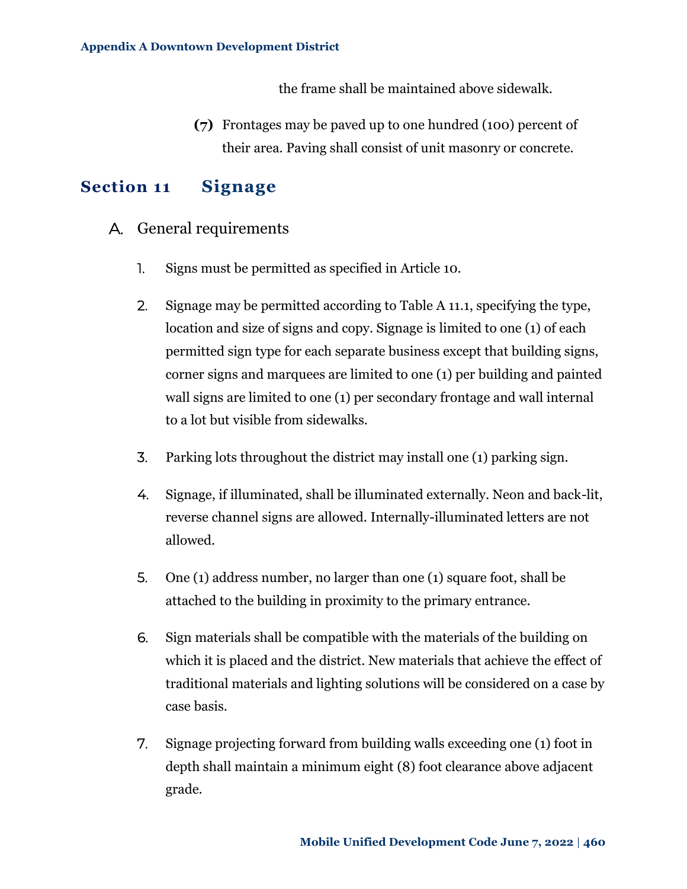the frame shall be maintained above sidewalk.

**(7)** Frontages may be paved up to one hundred (100) percent of their area. Paving shall consist of unit masonry or concrete.

### <span id="page-51-0"></span>**Section 11 Signage**

- A. General requirements
	- 1. Signs must be permitted as specified in Article 10.
	- 2. Signage may be permitted according to Table A 11.1, specifying the type, location and size of signs and copy. Signage is limited to one (1) of each permitted sign type for each separate business except that building signs, corner signs and marquees are limited to one (1) per building and painted wall signs are limited to one (1) per secondary frontage and wall internal to a lot but visible from sidewalks.
	- 3. Parking lots throughout the district may install one (1) parking sign.
	- 4. Signage, if illuminated, shall be illuminated externally. Neon and back-lit, reverse channel signs are allowed. Internally-illuminated letters are not allowed.
	- 5. One (1) address number, no larger than one (1) square foot, shall be attached to the building in proximity to the primary entrance.
	- 6. Sign materials shall be compatible with the materials of the building on which it is placed and the district. New materials that achieve the effect of traditional materials and lighting solutions will be considered on a case by case basis.
	- 7. Signage projecting forward from building walls exceeding one (1) foot in depth shall maintain a minimum eight (8) foot clearance above adjacent grade.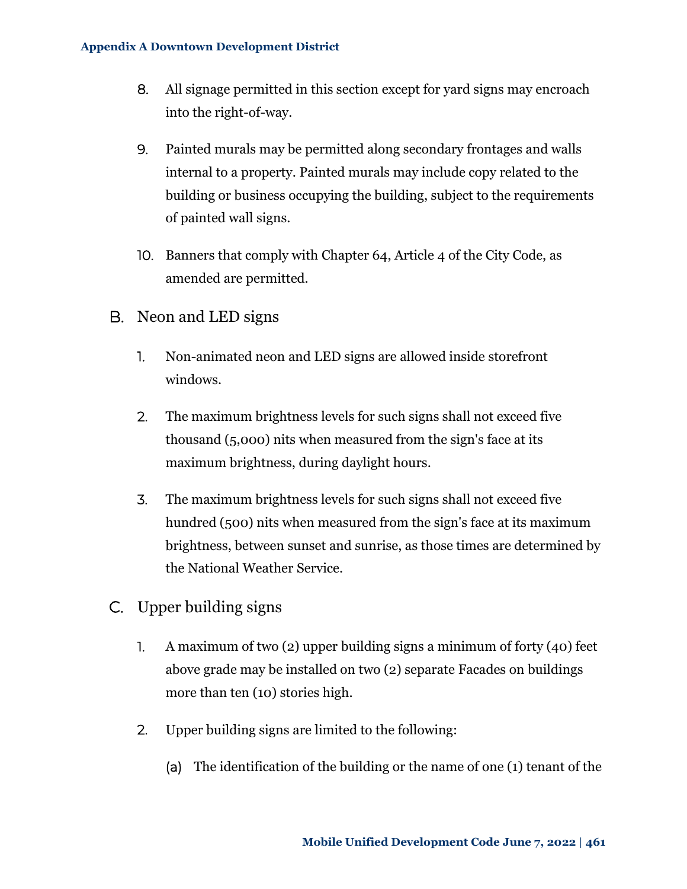- 8. All signage permitted in this section except for yard signs may encroach into the right-of-way.
- 9. Painted murals may be permitted along secondary frontages and walls internal to a property. Painted murals may include copy related to the building or business occupying the building, subject to the requirements of painted wall signs.
- 10. Banners that comply with Chapter 64, Article 4 of the City Code, as amended are permitted.
- B. Neon and LED signs
	- 1. Non-animated neon and LED signs are allowed inside storefront windows.
	- 2. The maximum brightness levels for such signs shall not exceed five thousand (5,000) nits when measured from the sign's face at its maximum brightness, during daylight hours.
	- 3. The maximum brightness levels for such signs shall not exceed five hundred (500) nits when measured from the sign's face at its maximum brightness, between sunset and sunrise, as those times are determined by the National Weather Service.
- C. Upper building signs
	- 1. A maximum of two (2) upper building signs a minimum of forty (40) feet above grade may be installed on two (2) separate Facades on buildings more than ten (10) stories high.
	- 2. Upper building signs are limited to the following:
		- (a) The identification of the building or the name of one (1) tenant of the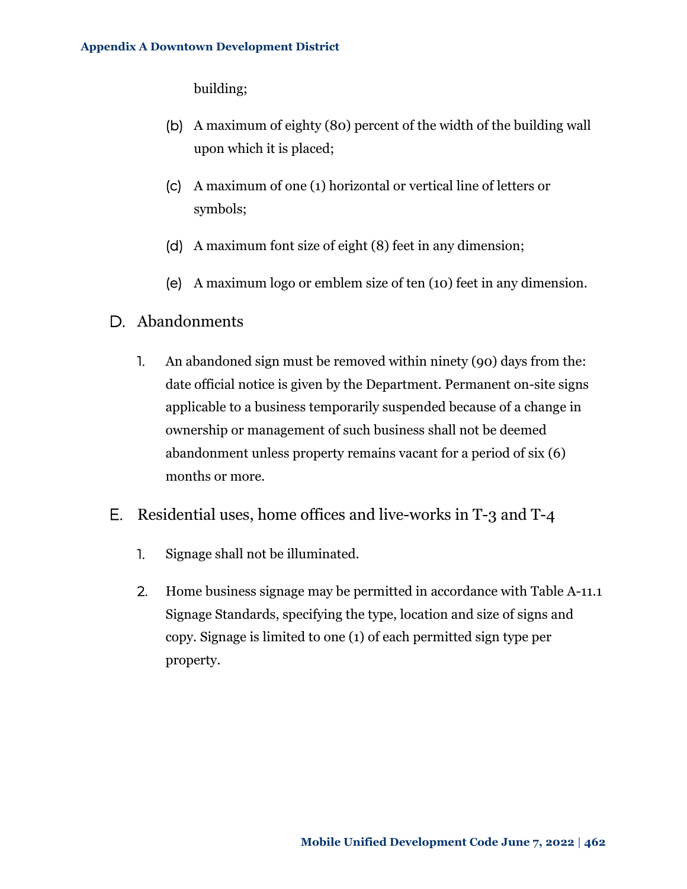building;

- (b) A maximum of eighty (80) percent of the width of the building wall upon which it is placed;
- (c) A maximum of one (1) horizontal or vertical line of letters or symbols;
- (d) A maximum font size of eight (8) feet in any dimension;
- (e) A maximum logo or emblem size of ten (10) feet in any dimension.
- D. Abandonments
	- 1. An abandoned sign must be removed within ninety (90) days from the: date official notice is given by the Department. Permanent on-site signs applicable to a business temporarily suspended because of a change in ownership or management of such business shall not be deemed abandonment unless property remains vacant for a period of six (6) months or more.
- E. Residential uses, home offices and live-works in T-3 and T-4
	- 1. Signage shall not be illuminated.
	- 2. Home business signage may be permitted in accordance with [Table A-11.1](#page-54-0) [Signage Standards,](#page-54-0) specifying the type, location and size of signs and copy. Signage is limited to one (1) of each permitted sign type per property.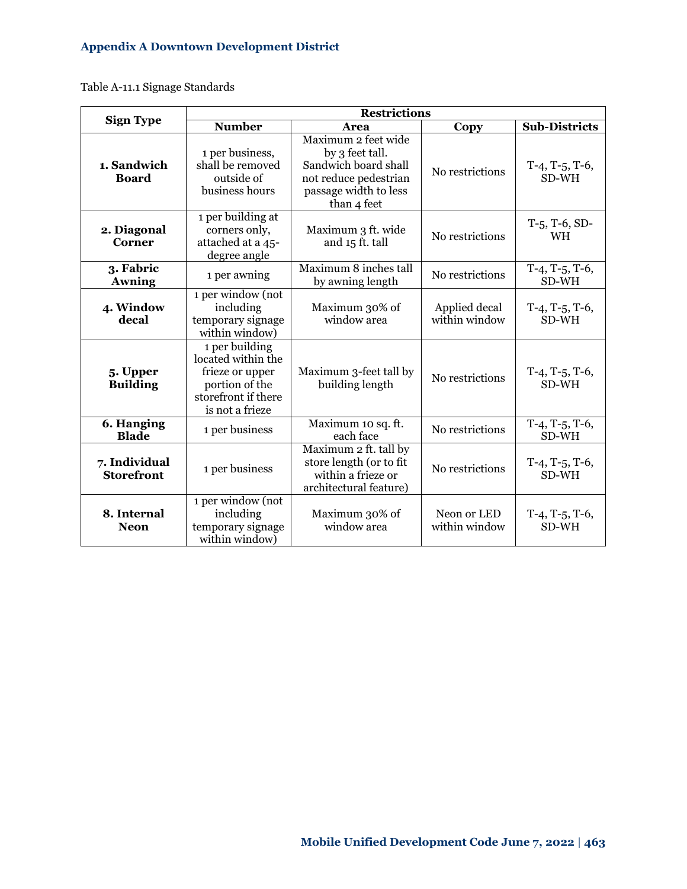<span id="page-54-0"></span>Table A-11.1 Signage Standards

|                                    | <b>Restrictions</b>                                                                                                 |                                                                                                                                 |                                |                                       |  |  |  |
|------------------------------------|---------------------------------------------------------------------------------------------------------------------|---------------------------------------------------------------------------------------------------------------------------------|--------------------------------|---------------------------------------|--|--|--|
| <b>Sign Type</b>                   | <b>Number</b>                                                                                                       | Area                                                                                                                            | Copy                           | <b>Sub-Districts</b>                  |  |  |  |
| 1. Sandwich<br><b>Board</b>        | 1 per business,<br>shall be removed<br>outside of<br>business hours                                                 | Maximum 2 feet wide<br>by 3 feet tall.<br>Sandwich board shall<br>not reduce pedestrian<br>passage width to less<br>than 4 feet | No restrictions                | $T-4$ , $T-5$ , $T-6$ ,<br>SD-WH      |  |  |  |
| 2. Diagonal<br>Corner              | 1 per building at<br>corners only,<br>attached at a 45-<br>degree angle                                             | Maximum 3 ft. wide<br>and 15 ft. tall                                                                                           | No restrictions                | $T-5$ , T-6, SD-<br><b>WH</b>         |  |  |  |
| 3. Fabric<br><b>Awning</b>         | 1 per awning                                                                                                        | Maximum 8 inches tall<br>by awning length                                                                                       | No restrictions                | $\overline{T}$ -4, T-5, T-6,<br>SD-WH |  |  |  |
| 4. Window<br>decal                 | 1 per window (not<br>including<br>temporary signage<br>within window)                                               | Maximum 30% of<br>window area                                                                                                   | Applied decal<br>within window | $T-4$ , $T-5$ , $T-6$ ,<br>SD-WH      |  |  |  |
| 5. Upper<br><b>Building</b>        | 1 per building<br>located within the<br>frieze or upper<br>portion of the<br>storefront if there<br>is not a frieze | Maximum 3-feet tall by<br>building length                                                                                       | No restrictions                | $T-4$ , $T-5$ , $T-6$ ,<br>SD-WH      |  |  |  |
| 6. Hanging<br><b>Blade</b>         | 1 per business                                                                                                      | Maximum 10 sq. ft.<br>each face                                                                                                 | No restrictions                | $T-4$ , $T-5$ , $T-6$ ,<br>SD-WH      |  |  |  |
| 7. Individual<br><b>Storefront</b> | 1 per business                                                                                                      | Maximum 2 ft. tall by<br>store length (or to fit<br>within a frieze or<br>architectural feature)                                | No restrictions                | $T-4$ , $T-5$ , $T-6$ ,<br>SD-WH      |  |  |  |
| 8. Internal<br><b>Neon</b>         | 1 per window (not<br>including<br>temporary signage<br>within window)                                               | Maximum 30% of<br>window area                                                                                                   | Neon or LED<br>within window   | $T-4$ , $T-5$ , $T-6$ ,<br>SD-WH      |  |  |  |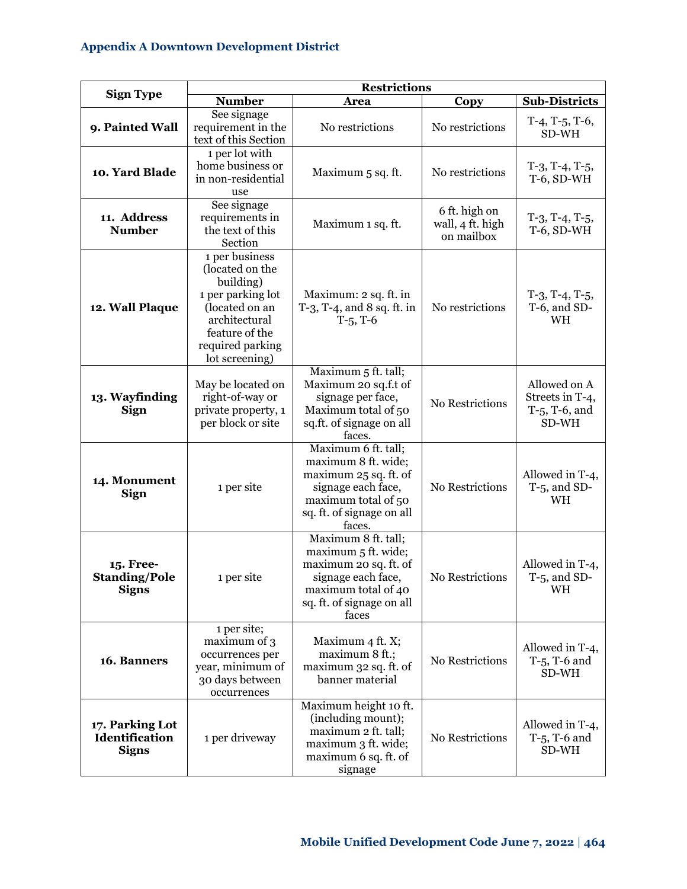|                                                   | <b>Restrictions</b>                                                                                                                                            |                                                                                                                                                         |                                                 |                                                              |  |  |  |  |
|---------------------------------------------------|----------------------------------------------------------------------------------------------------------------------------------------------------------------|---------------------------------------------------------------------------------------------------------------------------------------------------------|-------------------------------------------------|--------------------------------------------------------------|--|--|--|--|
| <b>Sign Type</b>                                  | <b>Number</b>                                                                                                                                                  | Area                                                                                                                                                    | Copy                                            | <b>Sub-Districts</b>                                         |  |  |  |  |
| 9. Painted Wall                                   | See signage<br>requirement in the<br>text of this Section                                                                                                      | No restrictions                                                                                                                                         | No restrictions                                 | $T-4$ , T-5, T-6,<br>SD-WH                                   |  |  |  |  |
| 10. Yard Blade                                    | 1 per lot with<br>home business or<br>in non-residential<br>use                                                                                                | Maximum 5 sq. ft.                                                                                                                                       | No restrictions                                 | $T-3$ , $T-4$ , $T-5$ ,<br>T-6, SD-WH                        |  |  |  |  |
| 11. Address<br><b>Number</b>                      | See signage<br>requirements in<br>the text of this<br>Section                                                                                                  | Maximum 1 sq. ft.                                                                                                                                       | 6 ft. high on<br>wall, 4 ft. high<br>on mailbox | $T-3$ , $T-4$ , $T-5$ ,<br>$T-6$ , SD-WH                     |  |  |  |  |
| 12. Wall Plaque                                   | 1 per business<br>(located on the<br>building)<br>1 per parking lot<br>(located on an<br>architectural<br>feature of the<br>required parking<br>lot screening) | Maximum: 2 sq. ft. in<br>$T-3$ , $T-4$ , and $8$ sq. ft. in<br>$T-5$ , $T-6$                                                                            | No restrictions                                 | $T-3$ , $T-4$ , $T-5$ ,<br>T-6, and SD-<br>WH                |  |  |  |  |
| 13. Wayfinding<br><b>Sign</b>                     | May be located on<br>right-of-way or<br>private property, 1<br>per block or site                                                                               | Maximum 5 ft. tall;<br>Maximum 20 sq.f.t of<br>signage per face,<br>Maximum total of 50<br>sq.ft. of signage on all<br>faces.                           | No Restrictions                                 | Allowed on A<br>Streets in T-4,<br>$T-5$ , T-6, and<br>SD-WH |  |  |  |  |
| 14. Monument<br><b>Sign</b>                       | 1 per site                                                                                                                                                     | Maximum 6 ft. tall;<br>maximum 8 ft. wide;<br>maximum 25 sq. ft. of<br>signage each face,<br>maximum total of 50<br>sq. ft. of signage on all<br>faces. | No Restrictions                                 | Allowed in T-4,<br>$T-5$ , and SD-<br>WH                     |  |  |  |  |
| 15. Free-<br><b>Standing/Pole</b><br><b>Signs</b> | 1 per site                                                                                                                                                     | Maximum 8 ft. tall;<br>maximum 5 ft. wide;<br>maximum 20 sq. ft. of<br>signage each face,<br>maximum total of 40<br>sq. ft. of signage on all<br>faces  | No Restrictions                                 | Allowed in T-4,<br>$T-5$ , and SD-<br>WH                     |  |  |  |  |
| 16. Banners                                       | 1 per site;<br>maximum of 3<br>occurrences per<br>year, minimum of<br>30 days between<br>occurrences                                                           | Maximum 4 ft. X;<br>maximum 8 ft.;<br>maximum 32 sq. ft. of<br>banner material                                                                          | No Restrictions                                 | Allowed in T-4,<br>T-5, T-6 and<br>SD-WH                     |  |  |  |  |
| 17. Parking Lot<br>Identification<br><b>Signs</b> | 1 per driveway                                                                                                                                                 | Maximum height 10 ft.<br>(including mount);<br>maximum 2 ft. tall;<br>maximum 3 ft. wide;<br>maximum 6 sq. ft. of<br>signage                            | No Restrictions                                 | Allowed in T-4,<br>$T-5$ , T-6 and<br>SD-WH                  |  |  |  |  |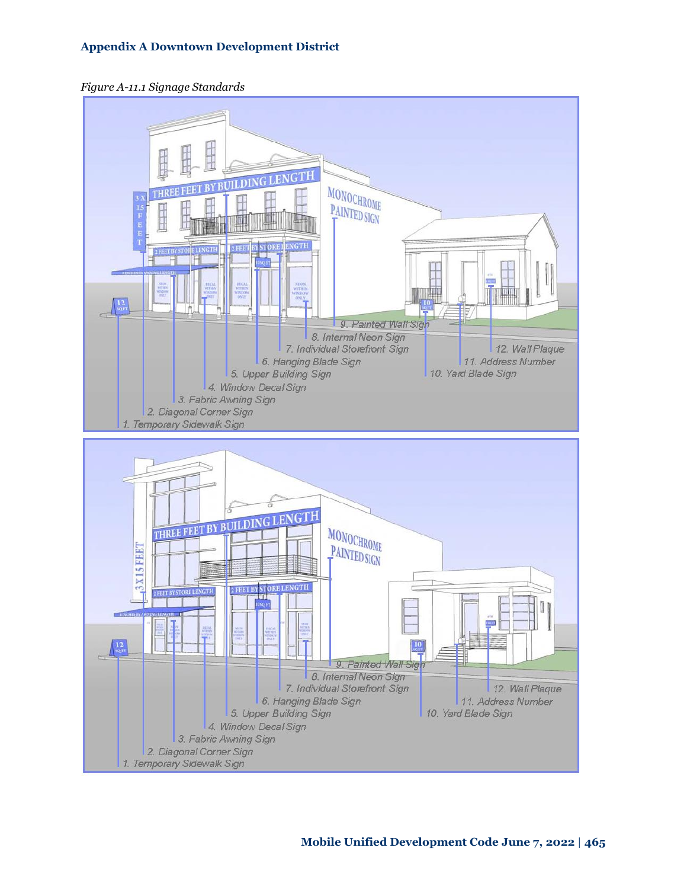

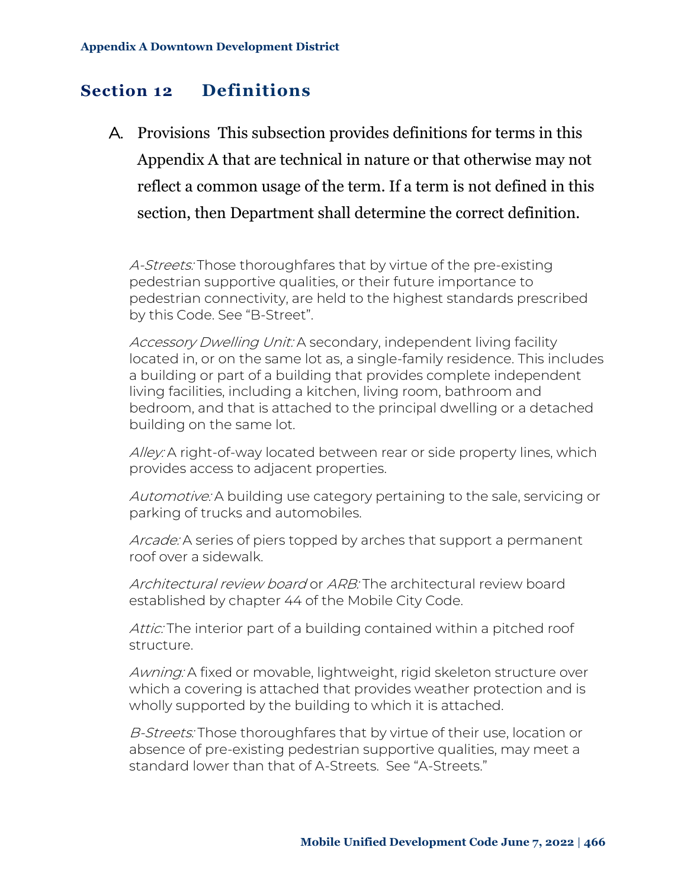# <span id="page-57-0"></span>**Section 12 Definitions**

A. Provisions This subsection provides definitions for terms in this Appendix A that are technical in nature or that otherwise may not reflect a common usage of the term. If a term is not defined in this section, then Department shall determine the correct definition.

A-Streets: Those thoroughfares that by virtue of the pre-existing pedestrian supportive qualities, or their future importance to pedestrian connectivity, are held to the highest standards prescribed by this Code. See "B-Street".

Accessory Dwelling Unit: A secondary, independent living facility located in, or on the same lot as, a single-family residence. This includes a building or part of a building that provides complete independent living facilities, including a kitchen, living room, bathroom and bedroom, and that is attached to the principal dwelling or a detached building on the same lot.

Alley: A right-of-way located between rear or side property lines, which provides access to adjacent properties.

Automotive: A building use category pertaining to the sale, servicing or parking of trucks and automobiles.

Arcade: A series of piers topped by arches that support a permanent roof over a sidewalk.

Architectural review board or ARB: The architectural review board established by chapter 44 of the Mobile City Code.

Attic: The interior part of a building contained within a pitched roof structure.

Awning: A fixed or movable, lightweight, rigid skeleton structure over which a covering is attached that provides weather protection and is wholly supported by the building to which it is attached.

B-Streets: Those thoroughfares that by virtue of their use, location or absence of pre-existing pedestrian supportive qualities, may meet a standard lower than that of A-Streets. See "A-Streets."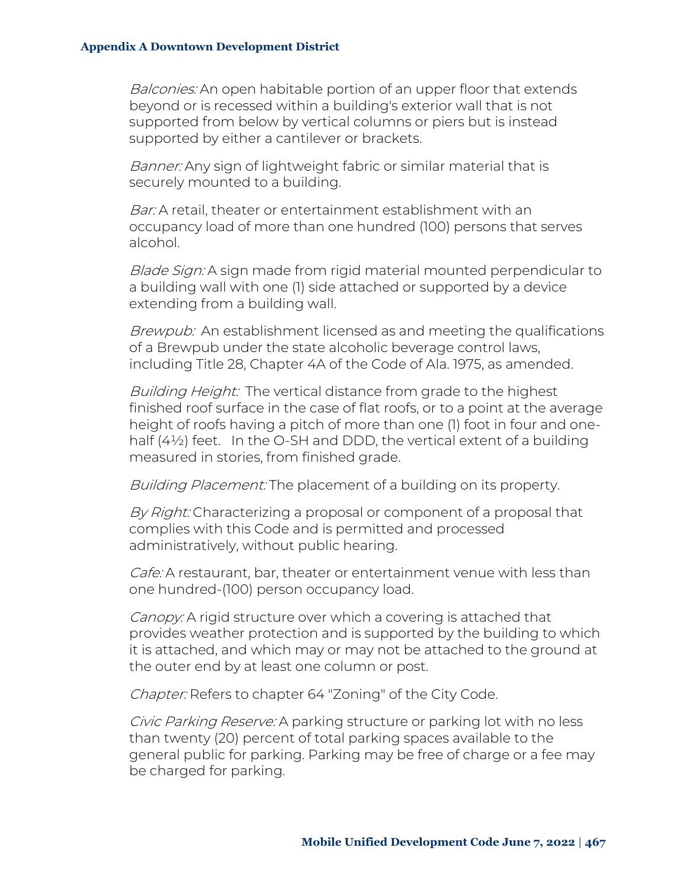Balconies: An open habitable portion of an upper floor that extends beyond or is recessed within a building's exterior wall that is not supported from below by vertical columns or piers but is instead supported by either a cantilever or brackets.

Banner: Any sign of lightweight fabric or similar material that is securely mounted to a building.

Bar: A retail, theater or entertainment establishment with an occupancy load of more than one hundred (100) persons that serves alcohol.

Blade Sign: A sign made from rigid material mounted perpendicular to a building wall with one (1) side attached or supported by a device extending from a building wall.

Brewpub: An establishment licensed as and meeting the qualifications of a Brewpub under the state alcoholic beverage control laws, including Title 28, Chapter 4A of the Code of Ala. 1975, as amended.

Building Height: The vertical distance from grade to the highest finished roof surface in the case of flat roofs, or to a point at the average height of roofs having a pitch of more than one (1) foot in four and onehalf (4½) feet. In the O-SH and DDD, the vertical extent of a building measured in stories, from finished grade.

Building Placement: The placement of a building on its property.

By Right: Characterizing a proposal or component of a proposal that complies with this Code and is permitted and processed administratively, without public hearing.

Cafe: A restaurant, bar, theater or entertainment venue with less than one hundred-(100) person occupancy load.

Canopy: A rigid structure over which a covering is attached that provides weather protection and is supported by the building to which it is attached, and which may or may not be attached to the ground at the outer end by at least one column or post.

Chapter: Refers to chapter 64 "Zoning" of the City Code.

Civic Parking Reserve: A parking structure or parking lot with no less than twenty (20) percent of total parking spaces available to the general public for parking. Parking may be free of charge or a fee may be charged for parking.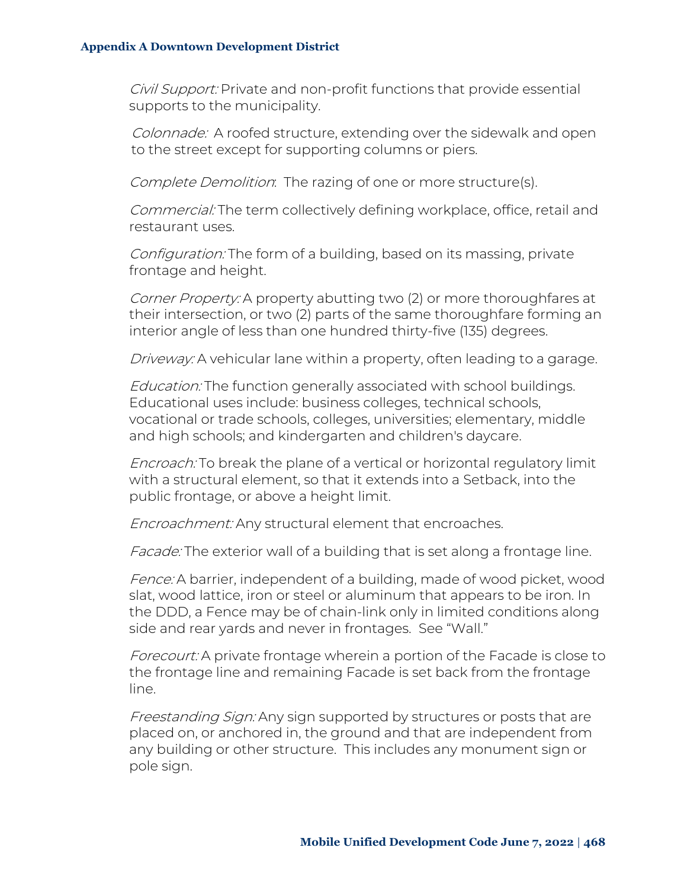Civil Support: Private and non-profit functions that provide essential supports to the municipality.

Colonnade: A roofed structure, extending over the sidewalk and open to the street except for supporting columns or piers.

Complete Demolition: The razing of one or more structure(s).

Commercial: The term collectively defining workplace, office, retail and restaurant uses.

Configuration: The form of a building, based on its massing, private frontage and height.

Corner Property: A property abutting two (2) or more thoroughfares at their intersection, or two (2) parts of the same thoroughfare forming an interior angle of less than one hundred thirty-five (135) degrees.

Driveway: A vehicular lane within a property, often leading to a garage.

Education: The function generally associated with school buildings. Educational uses include: business colleges, technical schools, vocational or trade schools, colleges, universities; elementary, middle and high schools; and kindergarten and children's daycare.

Encroach: To break the plane of a vertical or horizontal regulatory limit with a structural element, so that it extends into a Setback, into the public frontage, or above a height limit.

Encroachment: Any structural element that encroaches.

Facade: The exterior wall of a building that is set along a frontage line.

Fence: A barrier, independent of a building, made of wood picket, wood slat, wood lattice, iron or steel or aluminum that appears to be iron. In the DDD, a Fence may be of chain-link only in limited conditions along side and rear yards and never in frontages. See "Wall."

Forecourt: A private frontage wherein a portion of the Facade is close to the frontage line and remaining Facade is set back from the frontage line.

Freestanding Sign: Any sign supported by structures or posts that are placed on, or anchored in, the ground and that are independent from any building or other structure. This includes any monument sign or pole sign.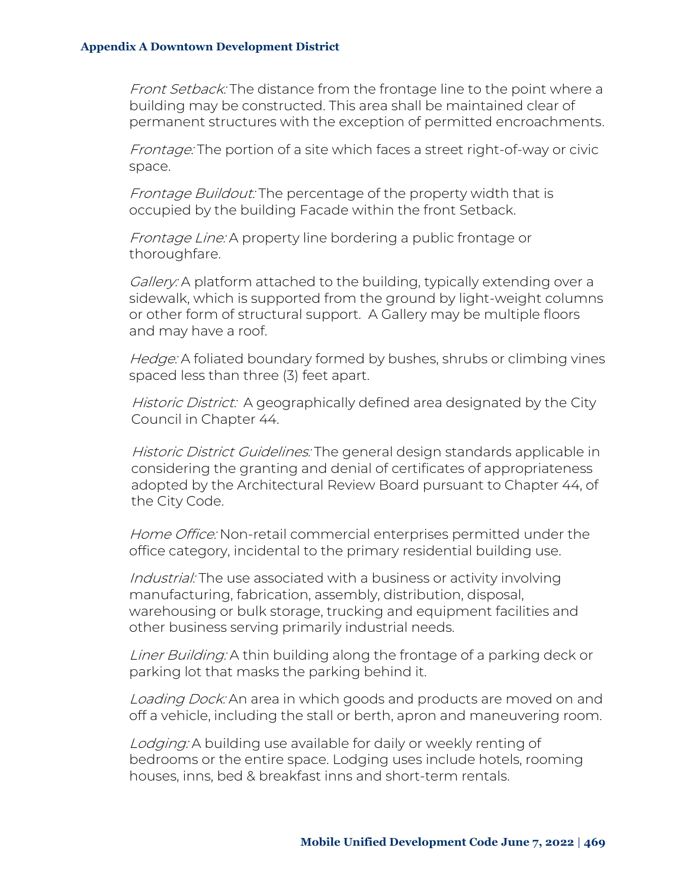Front Setback: The distance from the frontage line to the point where a building may be constructed. This area shall be maintained clear of permanent structures with the exception of permitted encroachments.

Frontage: The portion of a site which faces a street right-of-way or civic space.

Frontage Buildout: The percentage of the property width that is occupied by the building Facade within the front Setback.

Frontage Line: A property line bordering a public frontage or thoroughfare.

Gallery: A platform attached to the building, typically extending over a sidewalk, which is supported from the ground by light-weight columns or other form of structural support. A Gallery may be multiple floors and may have a roof.

Hedge: A foliated boundary formed by bushes, shrubs or climbing vines spaced less than three (3) feet apart.

Historic District: A geographically defined area designated by the City Council in Chapter 44.

Historic District Guidelines: The general design standards applicable in considering the granting and denial of certificates of appropriateness adopted by the Architectural Review Board pursuant to Chapter 44, of the City Code.

Home Office: Non-retail commercial enterprises permitted under the office category, incidental to the primary residential building use.

Industrial: The use associated with a business or activity involving manufacturing, fabrication, assembly, distribution, disposal, warehousing or bulk storage, trucking and equipment facilities and other business serving primarily industrial needs.

Liner Building: A thin building along the frontage of a parking deck or parking lot that masks the parking behind it.

Loading Dock: An area in which goods and products are moved on and off a vehicle, including the stall or berth, apron and maneuvering room.

Lodging: A building use available for daily or weekly renting of bedrooms or the entire space. Lodging uses include hotels, rooming houses, inns, bed & breakfast inns and short-term rentals.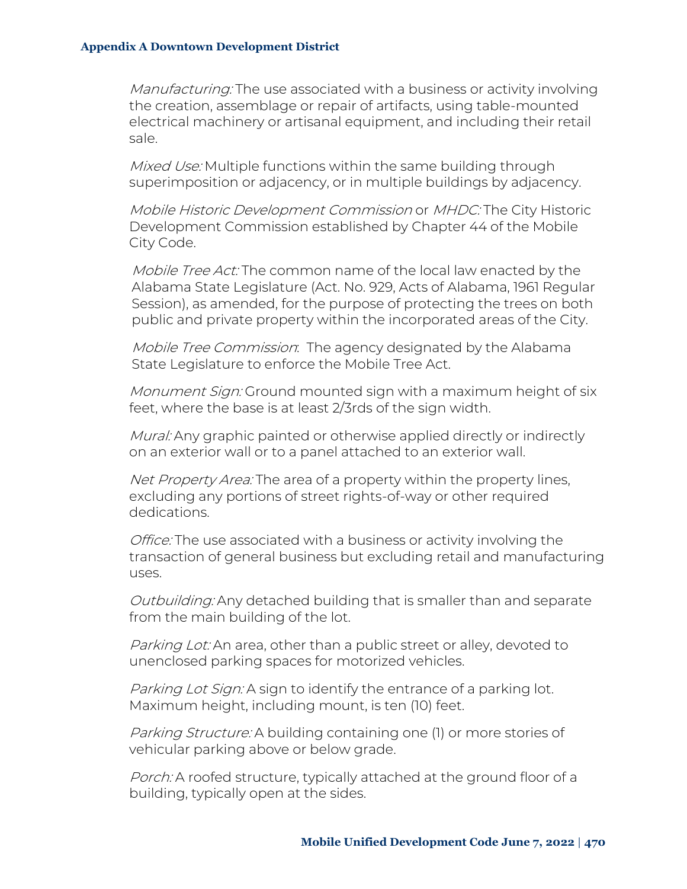Manufacturing: The use associated with a business or activity involving the creation, assemblage or repair of artifacts, using table-mounted electrical machinery or artisanal equipment, and including their retail sale.

Mixed Use: Multiple functions within the same building through superimposition or adjacency, or in multiple buildings by adjacency.

Mobile Historic Development Commission or MHDC: The City Historic Development Commission established by Chapter 44 of the Mobile City Code.

Mobile Tree Act: The common name of the local law enacted by the Alabama State Legislature (Act. No. 929, Acts of Alabama, 1961 Regular Session), as amended, for the purpose of protecting the trees on both public and private property within the incorporated areas of the City.

Mobile Tree Commission: The agency designated by the Alabama State Legislature to enforce the Mobile Tree Act.

Monument Sign: Ground mounted sign with a maximum height of six feet, where the base is at least 2/3rds of the sign width.

Mural: Any graphic painted or otherwise applied directly or indirectly on an exterior wall or to a panel attached to an exterior wall.

Net Property Area: The area of a property within the property lines, excluding any portions of street rights-of-way or other required dedications.

Office: The use associated with a business or activity involving the transaction of general business but excluding retail and manufacturing uses.

Outbuilding: Any detached building that is smaller than and separate from the main building of the lot.

Parking Lot: An area, other than a public street or alley, devoted to unenclosed parking spaces for motorized vehicles.

Parking Lot Sign: A sign to identify the entrance of a parking lot. Maximum height, including mount, is ten (10) feet.

Parking Structure: A building containing one (1) or more stories of vehicular parking above or below grade.

Porch: A roofed structure, typically attached at the ground floor of a building, typically open at the sides.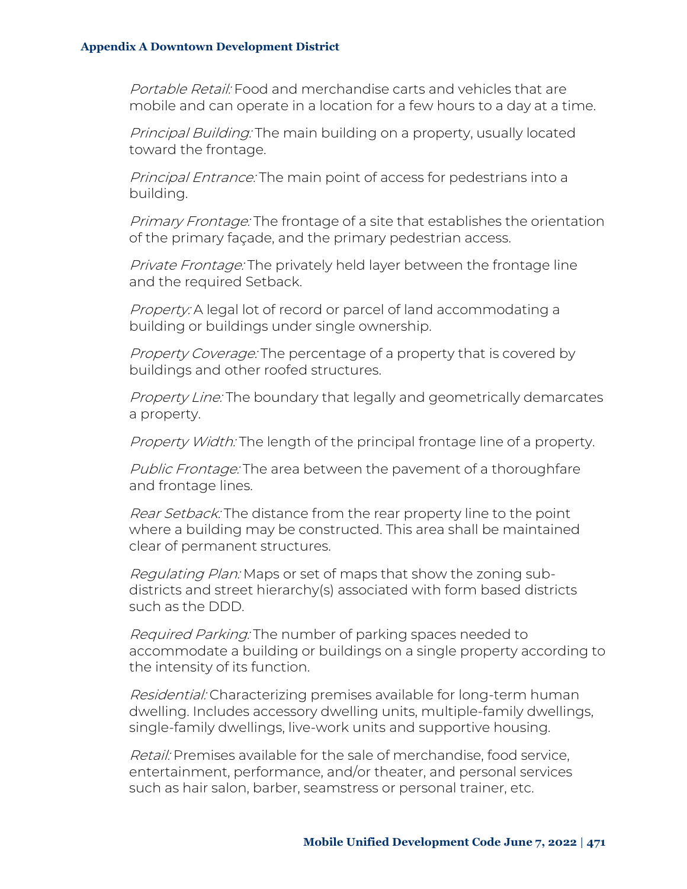Portable Retail: Food and merchandise carts and vehicles that are mobile and can operate in a location for a few hours to a day at a time.

Principal Building: The main building on a property, usually located toward the frontage.

Principal Entrance: The main point of access for pedestrians into a building.

Primary Frontage: The frontage of a site that establishes the orientation of the primary façade, and the primary pedestrian access.

Private Frontage: The privately held layer between the frontage line and the required Setback.

Property: A legal lot of record or parcel of land accommodating a building or buildings under single ownership.

Property Coverage: The percentage of a property that is covered by buildings and other roofed structures.

Property Line: The boundary that legally and geometrically demarcates a property.

Property Width: The length of the principal frontage line of a property.

Public Frontage: The area between the pavement of a thoroughfare and frontage lines.

Rear Setback: The distance from the rear property line to the point where a building may be constructed. This area shall be maintained clear of permanent structures.

Regulating Plan: Maps or set of maps that show the zoning subdistricts and street hierarchy(s) associated with form based districts such as the DDD.

Required Parking: The number of parking spaces needed to accommodate a building or buildings on a single property according to the intensity of its function.

Residential: Characterizing premises available for long-term human dwelling. Includes accessory dwelling units, multiple-family dwellings, single-family dwellings, live-work units and supportive housing.

Retail: Premises available for the sale of merchandise, food service, entertainment, performance, and/or theater, and personal services such as hair salon, barber, seamstress or personal trainer, etc.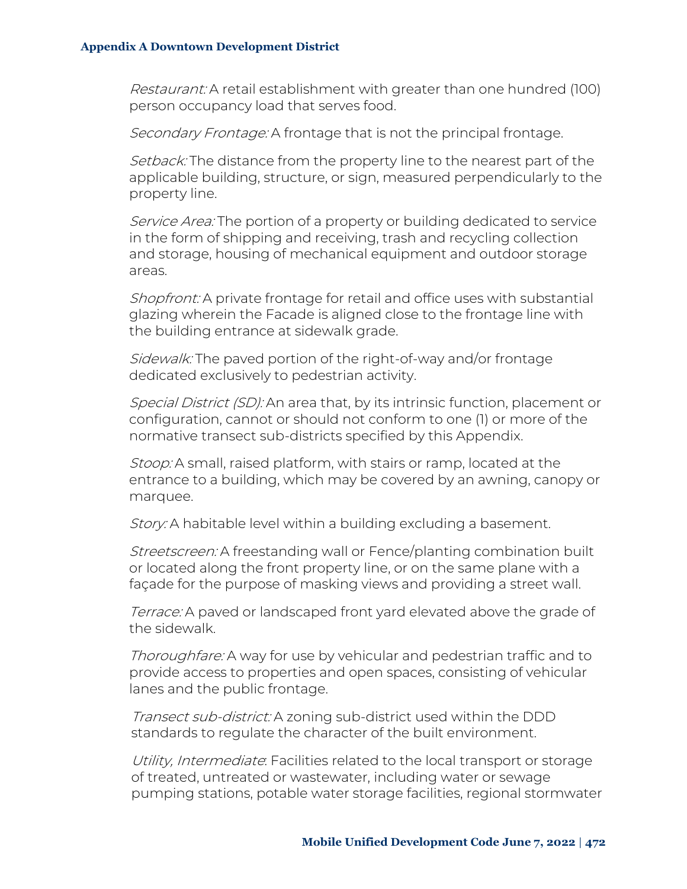Restaurant: A retail establishment with greater than one hundred (100) person occupancy load that serves food.

Secondary Frontage: A frontage that is not the principal frontage.

Setback: The distance from the property line to the nearest part of the applicable building, structure, or sign, measured perpendicularly to the property line.

Service Area: The portion of a property or building dedicated to service in the form of shipping and receiving, trash and recycling collection and storage, housing of mechanical equipment and outdoor storage areas.

Shopfront: A private frontage for retail and office uses with substantial glazing wherein the Facade is aligned close to the frontage line with the building entrance at sidewalk grade.

Sidewalk: The paved portion of the right-of-way and/or frontage dedicated exclusively to pedestrian activity.

Special District (SD): An area that, by its intrinsic function, placement or configuration, cannot or should not conform to one (1) or more of the normative transect sub-districts specified by this Appendix.

Stoop: A small, raised platform, with stairs or ramp, located at the entrance to a building, which may be covered by an awning, canopy or marquee.

Story: A habitable level within a building excluding a basement.

Streetscreen: A freestanding wall or Fence/planting combination built or located along the front property line, or on the same plane with a façade for the purpose of masking views and providing a street wall.

Terrace: A paved or landscaped front yard elevated above the grade of the sidewalk.

Thoroughfare: A way for use by vehicular and pedestrian traffic and to provide access to properties and open spaces, consisting of vehicular lanes and the public frontage.

Transect sub-district: A zoning sub-district used within the DDD standards to regulate the character of the built environment.

Utility, Intermediate. Facilities related to the local transport or storage of treated, untreated or wastewater, including water or sewage pumping stations, potable water storage facilities, regional stormwater